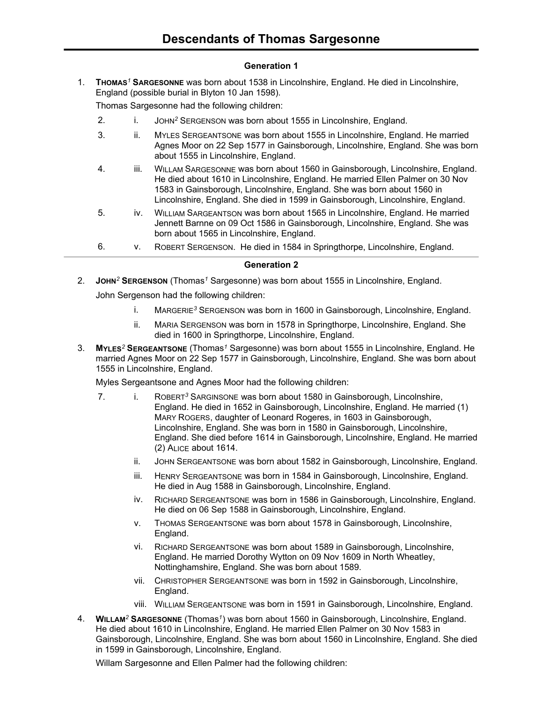# **Generation 1**

1. **THOMAS***<sup>1</sup>* **SARGESONNE** was born about 1538 in Lincolnshire, England. He died in Lincolnshire, England (possible burial in Blyton 10 Jan 1598).

Thomas Sargesonne had the following children:

- 2. i. JOHN*<sup>2</sup>* SERGENSON was born about 1555 in Lincolnshire, England.
- 3. ii. MYLES SERGEANTSONE was born about 1555 in Lincolnshire, England. He married Agnes Moor on 22 Sep 1577 in Gainsborough, Lincolnshire, England. She was born about 1555 in Lincolnshire, England.
- 4. iii. WILLAM SARGESONNE was born about 1560 in Gainsborough, Lincolnshire, England. He died about 1610 in Lincolnshire, England. He married Ellen Palmer on 30 Nov 1583 in Gainsborough, Lincolnshire, England. She was born about 1560 in Lincolnshire, England. She died in 1599 in Gainsborough, Lincolnshire, England.
- 5. iv. WILLIAM SARGEANTSON was born about 1565 in Lincolnshire, England. He married Jennett Barnne on 09 Oct 1586 in Gainsborough, Lincolnshire, England. She was born about 1565 in Lincolnshire, England.
- 6. v. ROBERT SERGENSON. He died in 1584 in Springthorpe, Lincolnshire, England.

## **Generation 2**

2. **JOHN***<sup>2</sup>* **SERGENSON** (Thomas*<sup>1</sup>* Sargesonne) was born about 1555 in Lincolnshire, England.

John Sergenson had the following children:

- i. MARGERIE*<sup>3</sup>* SERGENSON was born in 1600 in Gainsborough, Lincolnshire, England.
- ii. MARIA SERGENSON was born in 1578 in Springthorpe, Lincolnshire, England. She died in 1600 in Springthorpe, Lincolnshire, England.
- 3. **MYLES***<sup>2</sup>* **SERGEANTSONE** (Thomas*<sup>1</sup>* Sargesonne) was born about 1555 in Lincolnshire, England. He married Agnes Moor on 22 Sep 1577 in Gainsborough, Lincolnshire, England. She was born about 1555 in Lincolnshire, England.

Myles Sergeantsone and Agnes Moor had the following children:

- 7. i. ROBERT*<sup>3</sup>* SARGINSONE was born about 1580 in Gainsborough, Lincolnshire, England. He died in 1652 in Gainsborough, Lincolnshire, England. He married (1) MARY ROGERS, daughter of Leonard Rogeres, in 1603 in Gainsborough, Lincolnshire, England. She was born in 1580 in Gainsborough, Lincolnshire, England. She died before 1614 in Gainsborough, Lincolnshire, England. He married (2) ALICE about 1614.
	- ii. JOHN SERGEANTSONE was born about 1582 in Gainsborough, Lincolnshire, England.
	- iii. HENRY SERGEANTSONE was born in 1584 in Gainsborough, Lincolnshire, England. He died in Aug 1588 in Gainsborough, Lincolnshire, England.
	- iv. RICHARD SERGEANTSONE was born in 1586 in Gainsborough, Lincolnshire, England. He died on 06 Sep 1588 in Gainsborough, Lincolnshire, England.
	- v. THOMAS SERGEANTSONE was born about 1578 in Gainsborough, Lincolnshire, England.
	- vi. RICHARD SERGEANTSONE was born about 1589 in Gainsborough, Lincolnshire, England. He married Dorothy Wytton on 09 Nov 1609 in North Wheatley, Nottinghamshire, England. She was born about 1589.
	- vii. CHRISTOPHER SERGEANTSONE was born in 1592 in Gainsborough, Lincolnshire, England.
	- viii. WILLIAM SERGEANTSONE was born in 1591 in Gainsborough, Lincolnshire, England.
- 4. **WILLAM***<sup>2</sup>* **SARGESONNE** (Thomas*<sup>1</sup>* ) was born about 1560 in Gainsborough, Lincolnshire, England. He died about 1610 in Lincolnshire, England. He married Ellen Palmer on 30 Nov 1583 in Gainsborough, Lincolnshire, England. She was born about 1560 in Lincolnshire, England. She died in 1599 in Gainsborough, Lincolnshire, England.

Willam Sargesonne and Ellen Palmer had the following children: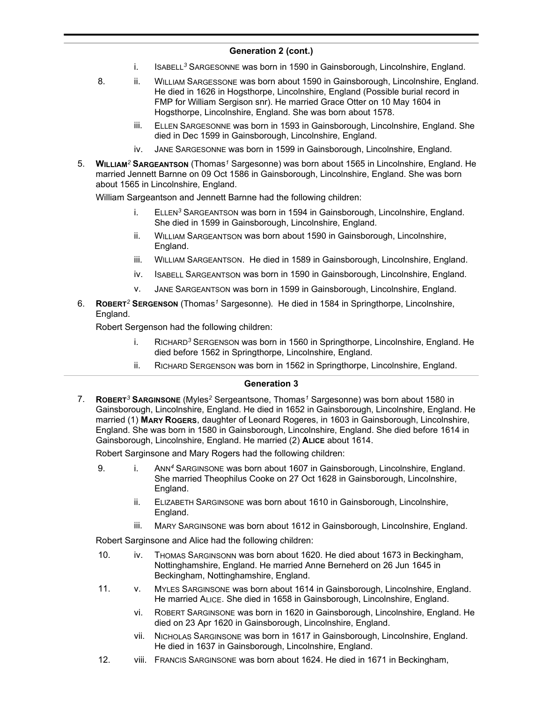- i. ISABELL*<sup>3</sup>* SARGESONNE was born in 1590 in Gainsborough, Lincolnshire, England.
- 8. ii. WILLIAM SARGESSONE was born about 1590 in Gainsborough, Lincolnshire, England. He died in 1626 in Hogsthorpe, Lincolnshire, England (Possible burial record in FMP for William Sergison snr). He married Grace Otter on 10 May 1604 in Hogsthorpe, Lincolnshire, England. She was born about 1578.
	- iii. ELLEN SARGESONNE was born in 1593 in Gainsborough, Lincolnshire, England. She died in Dec 1599 in Gainsborough, Lincolnshire, England.
	- iv. JANE SARGESONNE was born in 1599 in Gainsborough, Lincolnshire, England.
- 5. **WILLIAM***<sup>2</sup>* **SARGEANTSON** (Thomas*<sup>1</sup>* Sargesonne) was born about 1565 in Lincolnshire, England. He married Jennett Barnne on 09 Oct 1586 in Gainsborough, Lincolnshire, England. She was born about 1565 in Lincolnshire, England.

William Sargeantson and Jennett Barnne had the following children:

- i. ELLEN*<sup>3</sup>* SARGEANTSON was born in 1594 in Gainsborough, Lincolnshire, England. She died in 1599 in Gainsborough, Lincolnshire, England.
- ii. WILLIAM SARGEANTSON was born about 1590 in Gainsborough, Lincolnshire, England.
- iii. WILLIAM SARGEANTSON. He died in 1589 in Gainsborough, Lincolnshire, England.
- iv. ISABELL SARGEANTSON was born in 1590 in Gainsborough, Lincolnshire, England.
- v. JANE SARGEANTSON was born in 1599 in Gainsborough, Lincolnshire, England.
- 6. **ROBERT***<sup>2</sup>* **SERGENSON** (Thomas*<sup>1</sup>* Sargesonne). He died in 1584 in Springthorpe, Lincolnshire, England.

Robert Sergenson had the following children:

- i. RICHARD*<sup>3</sup>* SERGENSON was born in 1560 in Springthorpe, Lincolnshire, England. He died before 1562 in Springthorpe, Lincolnshire, England.
- ii. RICHARD SERGENSON was born in 1562 in Springthorpe, Lincolnshire, England.

### **Generation 3**

7. **ROBERT***<sup>3</sup>* **SARGINSONE** (Myles*<sup>2</sup>* Sergeantsone, Thomas*<sup>1</sup>* Sargesonne) was born about 1580 in Gainsborough, Lincolnshire, England. He died in 1652 in Gainsborough, Lincolnshire, England. He married (1) **MARY ROGERS**, daughter of Leonard Rogeres, in 1603 in Gainsborough, Lincolnshire, England. She was born in 1580 in Gainsborough, Lincolnshire, England. She died before 1614 in Gainsborough, Lincolnshire, England. He married (2) **ALICE** about 1614.

Robert Sarginsone and Mary Rogers had the following children:

- 9. i. ANN*<sup>4</sup>* SARGINSONE was born about 1607 in Gainsborough, Lincolnshire, England. She married Theophilus Cooke on 27 Oct 1628 in Gainsborough, Lincolnshire, England.
	- ii. ELIZABETH SARGINSONE was born about 1610 in Gainsborough, Lincolnshire, England.
	- iii. MARY SARGINSONE was born about 1612 in Gainsborough, Lincolnshire, England.

Robert Sarginsone and Alice had the following children:

- 10. iv. THOMAS SARGINSONN was born about 1620. He died about 1673 in Beckingham, Nottinghamshire, England. He married Anne Berneherd on 26 Jun 1645 in Beckingham, Nottinghamshire, England.
- 11. v. MYLES SARGINSONE was born about 1614 in Gainsborough, Lincolnshire, England. He married ALICE. She died in 1658 in Gainsborough, Lincolnshire, England.
	- vi. ROBERT SARGINSONE was born in 1620 in Gainsborough, Lincolnshire, England. He died on 23 Apr 1620 in Gainsborough, Lincolnshire, England.
	- vii. NICHOLAS SARGINSONE was born in 1617 in Gainsborough, Lincolnshire, England. He died in 1637 in Gainsborough, Lincolnshire, England.
- 12. viii. FRANCIS SARGINSONE was born about 1624. He died in 1671 in Beckingham,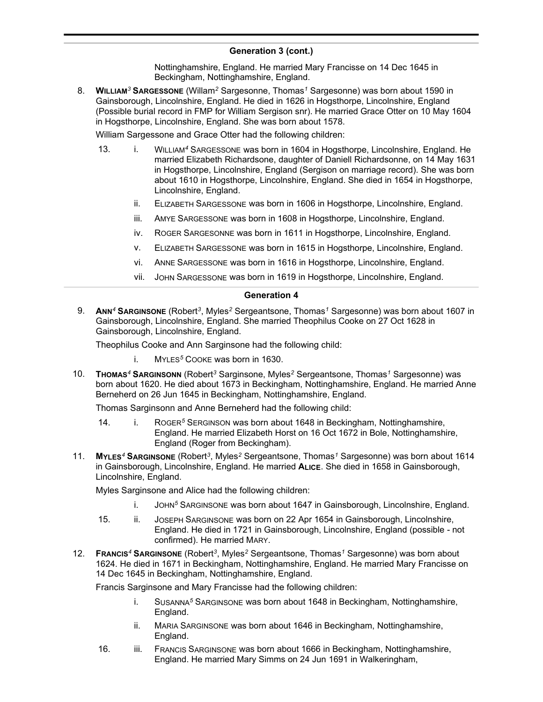Nottinghamshire, England. He married Mary Francisse on 14 Dec 1645 in Beckingham, Nottinghamshire, England.

8. **WILLIAM***<sup>3</sup>* **SARGESSONE** (Willam*<sup>2</sup>* Sargesonne, Thomas*<sup>1</sup>* Sargesonne) was born about 1590 in Gainsborough, Lincolnshire, England. He died in 1626 in Hogsthorpe, Lincolnshire, England (Possible burial record in FMP for William Sergison snr). He married Grace Otter on 10 May 1604 in Hogsthorpe, Lincolnshire, England. She was born about 1578.

William Sargessone and Grace Otter had the following children:

- 13. i. WILLIAM<sup>4</sup> SARGESSONE was born in 1604 in Hogsthorpe, Lincolnshire, England. He married Elizabeth Richardsone, daughter of Daniell Richardsonne, on 14 May 1631 in Hogsthorpe, Lincolnshire, England (Sergison on marriage record). She was born about 1610 in Hogsthorpe, Lincolnshire, England. She died in 1654 in Hogsthorpe, Lincolnshire, England.
	- ii. ELIZABETH SARGESSONE was born in 1606 in Hogsthorpe, Lincolnshire, England.
	- iii. AMYE SARGESSONE was born in 1608 in Hogsthorpe, Lincolnshire, England.
	- iv. ROGER SARGESONNE was born in 1611 in Hogsthorpe, Lincolnshire, England.
	- v. ELIZABETH SARGESSONE was born in 1615 in Hogsthorpe, Lincolnshire, England.
	- vi. ANNE SARGESSONE was born in 1616 in Hogsthorpe, Lincolnshire, England.
	- vii. JOHN SARGESSONE was born in 1619 in Hogsthorpe, Lincolnshire, England.

### **Generation 4**

9. **ANN***<sup>4</sup>* **SARGINSONE** (Robert*<sup>3</sup>* , Myles*<sup>2</sup>* Sergeantsone, Thomas*<sup>1</sup>* Sargesonne) was born about 1607 in Gainsborough, Lincolnshire, England. She married Theophilus Cooke on 27 Oct 1628 in Gainsborough, Lincolnshire, England.

Theophilus Cooke and Ann Sarginsone had the following child:

- i. MYLES*<sup>5</sup>* COOKE was born in 1630.
- 10. **THOMAS***<sup>4</sup>* **SARGINSONN** (Robert*<sup>3</sup>* Sarginsone, Myles*<sup>2</sup>* Sergeantsone, Thomas*<sup>1</sup>* Sargesonne) was born about 1620. He died about 1673 in Beckingham, Nottinghamshire, England. He married Anne Berneherd on 26 Jun 1645 in Beckingham, Nottinghamshire, England.

Thomas Sarginsonn and Anne Berneherd had the following child:

- 14. i. ROGER*<sup>5</sup>* SERGINSON was born about 1648 in Beckingham, Nottinghamshire, England. He married Elizabeth Horst on 16 Oct 1672 in Bole, Nottinghamshire, England (Roger from Beckingham).
- 11. **MYLES***<sup>4</sup>* **SARGINSONE** (Robert*<sup>3</sup>* , Myles*<sup>2</sup>* Sergeantsone, Thomas*<sup>1</sup>* Sargesonne) was born about 1614 in Gainsborough, Lincolnshire, England. He married **ALICE**. She died in 1658 in Gainsborough, Lincolnshire, England.

Myles Sarginsone and Alice had the following children:

- i. JOHN*<sup>5</sup>* SARGINSONE was born about 1647 in Gainsborough, Lincolnshire, England.
- 15. ii. JOSEPH SARGINSONE was born on 22 Apr 1654 in Gainsborough, Lincolnshire, England. He died in 1721 in Gainsborough, Lincolnshire, England (possible - not confirmed). He married MARY.
- 12. **FRANCIS***<sup>4</sup>* **SARGINSONE** (Robert*<sup>3</sup>* , Myles*<sup>2</sup>* Sergeantsone, Thomas*<sup>1</sup>* Sargesonne) was born about 1624. He died in 1671 in Beckingham, Nottinghamshire, England. He married Mary Francisse on 14 Dec 1645 in Beckingham, Nottinghamshire, England.

Francis Sarginsone and Mary Francisse had the following children:

- i. SUSANNA*<sup>5</sup>* SARGINSONE was born about 1648 in Beckingham, Nottinghamshire, England.
- ii. MARIA SARGINSONE was born about 1646 in Beckingham, Nottinghamshire, England.
- 16. iii. FRANCIS SARGINSONE was born about 1666 in Beckingham, Nottinghamshire, England. He married Mary Simms on 24 Jun 1691 in Walkeringham,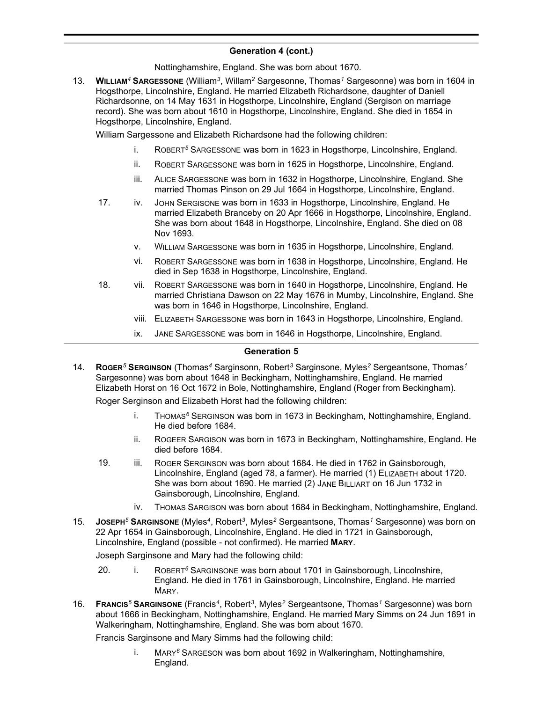Nottinghamshire, England. She was born about 1670.

13. **WILLIAM***<sup>4</sup>* **SARGESSONE** (William*<sup>3</sup>* , Willam*<sup>2</sup>* Sargesonne, Thomas*<sup>1</sup>* Sargesonne) was born in 1604 in Hogsthorpe, Lincolnshire, England. He married Elizabeth Richardsone, daughter of Daniell Richardsonne, on 14 May 1631 in Hogsthorpe, Lincolnshire, England (Sergison on marriage record). She was born about 1610 in Hogsthorpe, Lincolnshire, England. She died in 1654 in Hogsthorpe, Lincolnshire, England.

William Sargessone and Elizabeth Richardsone had the following children:

- i. ROBERT*<sup>5</sup>* SARGESSONE was born in 1623 in Hogsthorpe, Lincolnshire, England.
- ii. ROBERT SARGESSONE was born in 1625 in Hogsthorpe, Lincolnshire, England.
- iii. ALICE SARGESSONE was born in 1632 in Hogsthorpe, Lincolnshire, England. She married Thomas Pinson on 29 Jul 1664 in Hogsthorpe, Lincolnshire, England.
- 17. iv. JOHN SERGISONE was born in 1633 in Hogsthorpe, Lincolnshire, England. He married Elizabeth Branceby on 20 Apr 1666 in Hogsthorpe, Lincolnshire, England. She was born about 1648 in Hogsthorpe, Lincolnshire, England. She died on 08 Nov 1693.
	- v. WILLIAM SARGESSONE was born in 1635 in Hogsthorpe, Lincolnshire, England.
	- vi. ROBERT SARGESSONE was born in 1638 in Hogsthorpe, Lincolnshire, England. He died in Sep 1638 in Hogsthorpe, Lincolnshire, England.
- 18. vii. ROBERT SARGESSONE was born in 1640 in Hogsthorpe, Lincolnshire, England. He married Christiana Dawson on 22 May 1676 in Mumby, Lincolnshire, England. She was born in 1646 in Hogsthorpe, Lincolnshire, England.
	- viii. ELIZABETH SARGESSONE was born in 1643 in Hogsthorpe, Lincolnshire, England.
	- ix. JANE SARGESSONE was born in 1646 in Hogsthorpe, Lincolnshire, England.

### **Generation 5**

14. **ROGER***<sup>5</sup>* **SERGINSON** (Thomas*<sup>4</sup>* Sarginsonn, Robert*<sup>3</sup>* Sarginsone, Myles*<sup>2</sup>* Sergeantsone, Thomas*<sup>1</sup>* Sargesonne) was born about 1648 in Beckingham, Nottinghamshire, England. He married Elizabeth Horst on 16 Oct 1672 in Bole, Nottinghamshire, England (Roger from Beckingham).

Roger Serginson and Elizabeth Horst had the following children:

- i. THOMAS*<sup>6</sup>* SERGINSON was born in 1673 in Beckingham, Nottinghamshire, England. He died before 1684.
- ii. ROGEER SARGISON was born in 1673 in Beckingham, Nottinghamshire, England. He died before 1684.
- 19. iii. ROGER SERGINSON was born about 1684. He died in 1762 in Gainsborough, Lincolnshire, England (aged 78, a farmer). He married (1) ELIZABETH about 1720. She was born about 1690. He married (2) JANE BILLIART on 16 Jun 1732 in Gainsborough, Lincolnshire, England.
	- iv. THOMAS SARGISON was born about 1684 in Beckingham, Nottinghamshire, England.
- 15. **JOSEPH***<sup>5</sup>* **SARGINSONE** (Myles*<sup>4</sup>* , Robert*<sup>3</sup>* , Myles*<sup>2</sup>* Sergeantsone, Thomas*<sup>1</sup>* Sargesonne) was born on 22 Apr 1654 in Gainsborough, Lincolnshire, England. He died in 1721 in Gainsborough, Lincolnshire, England (possible - not confirmed). He married **MARY**.

Joseph Sarginsone and Mary had the following child:

- 20. i. ROBERT*<sup>6</sup>* SARGINSONE was born about 1701 in Gainsborough, Lincolnshire, England. He died in 1761 in Gainsborough, Lincolnshire, England. He married MARY.
- 16. **FRANCIS***<sup>5</sup>* **SARGINSONE** (Francis*<sup>4</sup>* , Robert*<sup>3</sup>* , Myles*<sup>2</sup>* Sergeantsone, Thomas*<sup>1</sup>* Sargesonne) was born about 1666 in Beckingham, Nottinghamshire, England. He married Mary Simms on 24 Jun 1691 in Walkeringham, Nottinghamshire, England. She was born about 1670.

Francis Sarginsone and Mary Simms had the following child:

i. MARY*<sup>6</sup>* SARGESON was born about 1692 in Walkeringham, Nottinghamshire, England.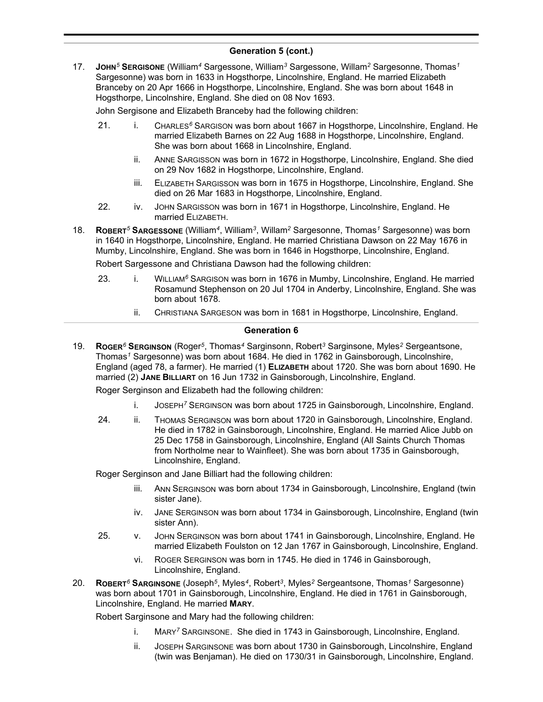17. **JOHN***<sup>5</sup>* **SERGISONE** (William*<sup>4</sup>* Sargessone, William*<sup>3</sup>* Sargessone, Willam*<sup>2</sup>* Sargesonne, Thomas*<sup>1</sup>* Sargesonne) was born in 1633 in Hogsthorpe, Lincolnshire, England. He married Elizabeth Branceby on 20 Apr 1666 in Hogsthorpe, Lincolnshire, England. She was born about 1648 in Hogsthorpe, Lincolnshire, England. She died on 08 Nov 1693.

John Sergisone and Elizabeth Branceby had the following children:

- 21. i. CHARLES*<sup>6</sup>* SARGISON was born about 1667 in Hogsthorpe, Lincolnshire, England. He married Elizabeth Barnes on 22 Aug 1688 in Hogsthorpe, Lincolnshire, England. She was born about 1668 in Lincolnshire, England.
	- ii. ANNE SARGISSON was born in 1672 in Hogsthorpe, Lincolnshire, England. She died on 29 Nov 1682 in Hogsthorpe, Lincolnshire, England.
	- iii. ELIZABETH SARGISSON was born in 1675 in Hogsthorpe, Lincolnshire, England. She died on 26 Mar 1683 in Hogsthorpe, Lincolnshire, England.
- 22. iv. JOHN SARGISSON was born in 1671 in Hogsthorpe, Lincolnshire, England. He married ELIZABETH.
- 18. **ROBERT***<sup>5</sup>* **SARGESSONE** (William*<sup>4</sup>* , William*<sup>3</sup>* , Willam*<sup>2</sup>* Sargesonne, Thomas*<sup>1</sup>* Sargesonne) was born in 1640 in Hogsthorpe, Lincolnshire, England. He married Christiana Dawson on 22 May 1676 in Mumby, Lincolnshire, England. She was born in 1646 in Hogsthorpe, Lincolnshire, England.

Robert Sargessone and Christiana Dawson had the following children:

- 23. i. WILLIAM<sup>6</sup> SARGISON was born in 1676 in Mumby, Lincolnshire, England. He married Rosamund Stephenson on 20 Jul 1704 in Anderby, Lincolnshire, England. She was born about 1678.
	- ii. CHRISTIANA SARGESON was born in 1681 in Hogsthorpe, Lincolnshire, England.

### **Generation 6**

19. **ROGER***<sup>6</sup>* **SERGINSON** (Roger*<sup>5</sup>* , Thomas*<sup>4</sup>* Sarginsonn, Robert*<sup>3</sup>* Sarginsone, Myles*<sup>2</sup>* Sergeantsone, Thomas*<sup>1</sup>* Sargesonne) was born about 1684. He died in 1762 in Gainsborough, Lincolnshire, England (aged 78, a farmer). He married (1) **ELIZABETH** about 1720. She was born about 1690. He married (2) **JANE BILLIART** on 16 Jun 1732 in Gainsborough, Lincolnshire, England.

Roger Serginson and Elizabeth had the following children:

- i. JOSEPH*<sup>7</sup>* SERGINSON was born about 1725 in Gainsborough, Lincolnshire, England.
- 24. ii. THOMAS SERGINSON was born about 1720 in Gainsborough, Lincolnshire, England. He died in 1782 in Gainsborough, Lincolnshire, England. He married Alice Jubb on 25 Dec 1758 in Gainsborough, Lincolnshire, England (All Saints Church Thomas from Northolme near to Wainfleet). She was born about 1735 in Gainsborough, Lincolnshire, England.

Roger Serginson and Jane Billiart had the following children:

- iii. ANN SERGINSON was born about 1734 in Gainsborough, Lincolnshire, England (twin sister Jane).
- iv. JANE SERGINSON was born about 1734 in Gainsborough, Lincolnshire, England (twin sister Ann).
- 25. v. JOHN SERGINSON was born about 1741 in Gainsborough, Lincolnshire, England. He married Elizabeth Foulston on 12 Jan 1767 in Gainsborough, Lincolnshire, England.
	- vi. ROGER SERGINSON was born in 1745. He died in 1746 in Gainsborough, Lincolnshire, England.
- 20. **ROBERT***<sup>6</sup>* **SARGINSONE** (Joseph*<sup>5</sup>* , Myles*<sup>4</sup>* , Robert*<sup>3</sup>* , Myles*<sup>2</sup>* Sergeantsone, Thomas*<sup>1</sup>* Sargesonne) was born about 1701 in Gainsborough, Lincolnshire, England. He died in 1761 in Gainsborough, Lincolnshire, England. He married **MARY**.

Robert Sarginsone and Mary had the following children:

- i. MARY*<sup>7</sup>* SARGINSONE. She died in 1743 in Gainsborough, Lincolnshire, England.
- ii. JOSEPH SARGINSONE was born about 1730 in Gainsborough, Lincolnshire, England (twin was Benjaman). He died on 1730/31 in Gainsborough, Lincolnshire, England.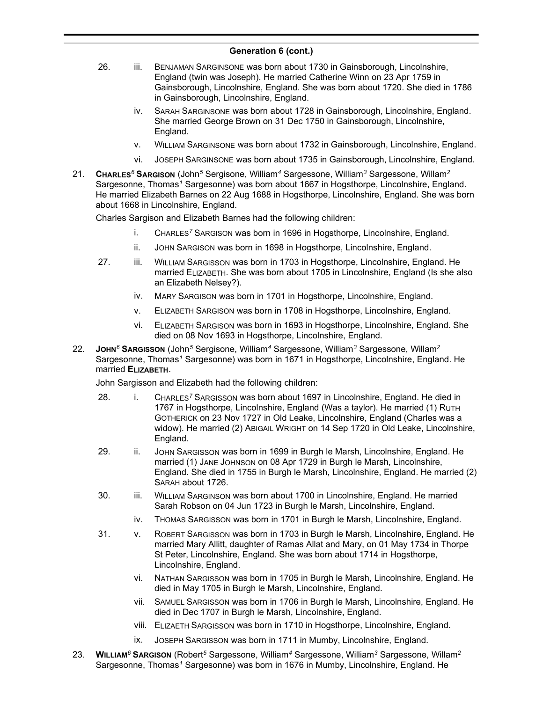- 26. iii. BENJAMAN SARGINSONE was born about 1730 in Gainsborough, Lincolnshire, England (twin was Joseph). He married Catherine Winn on 23 Apr 1759 in Gainsborough, Lincolnshire, England. She was born about 1720. She died in 1786 in Gainsborough, Lincolnshire, England.
	- iv. SARAH SARGINSONE was born about 1728 in Gainsborough, Lincolnshire, England. She married George Brown on 31 Dec 1750 in Gainsborough, Lincolnshire, England.
	- v. WILLIAM SARGINSONE was born about 1732 in Gainsborough, Lincolnshire, England.
	- vi. JOSEPH SARGINSONE was born about 1735 in Gainsborough, Lincolnshire, England.
- 21. **CHARLES***<sup>6</sup>* **SARGISON** (John*<sup>5</sup>* Sergisone, William*<sup>4</sup>* Sargessone, William*<sup>3</sup>* Sargessone, Willam*<sup>2</sup>* Sargesonne, Thomas*<sup>1</sup>* Sargesonne) was born about 1667 in Hogsthorpe, Lincolnshire, England. He married Elizabeth Barnes on 22 Aug 1688 in Hogsthorpe, Lincolnshire, England. She was born about 1668 in Lincolnshire, England.

Charles Sargison and Elizabeth Barnes had the following children:

- i. CHARLES*<sup>7</sup>* SARGISON was born in 1696 in Hogsthorpe, Lincolnshire, England.
- ii. JOHN SARGISON was born in 1698 in Hogsthorpe, Lincolnshire, England.
- 27. iii. WILLIAM SARGISSON was born in 1703 in Hogsthorpe, Lincolnshire, England. He married ELIZABETH. She was born about 1705 in Lincolnshire, England (Is she also an Elizabeth Nelsey?).
	- iv. MARY SARGISON was born in 1701 in Hogsthorpe, Lincolnshire, England.
	- v. ELIZABETH SARGISON was born in 1708 in Hogsthorpe, Lincolnshire, England.
	- vi. ELIZABETH SARGISON was born in 1693 in Hogsthorpe, Lincolnshire, England. She died on 08 Nov 1693 in Hogsthorpe, Lincolnshire, England.
- 22. **JOHN***<sup>6</sup>* **SARGISSON** (John*<sup>5</sup>* Sergisone, William*<sup>4</sup>* Sargessone, William*<sup>3</sup>* Sargessone, Willam*<sup>2</sup>* Sargesonne, Thomas*<sup>1</sup>* Sargesonne) was born in 1671 in Hogsthorpe, Lincolnshire, England. He married **ELIZABETH**.

John Sargisson and Elizabeth had the following children:

- 28. i. CHARLES*<sup>7</sup>* SARGISSON was born about 1697 in Lincolnshire, England. He died in 1767 in Hogsthorpe, Lincolnshire, England (Was a taylor). He married (1) RUTH GOTHERICK on 23 Nov 1727 in Old Leake, Lincolnshire, England (Charles was a widow). He married (2) ABIGAIL WRIGHT on 14 Sep 1720 in Old Leake, Lincolnshire, England.
- 29. ii. JOHN SARGISSON was born in 1699 in Burgh le Marsh, Lincolnshire, England. He married (1) JANE JOHNSON on 08 Apr 1729 in Burgh le Marsh, Lincolnshire, England. She died in 1755 in Burgh le Marsh, Lincolnshire, England. He married (2) SARAH about 1726.
- 30. iii. WILLIAM SARGINSON was born about 1700 in Lincolnshire, England. He married Sarah Robson on 04 Jun 1723 in Burgh le Marsh, Lincolnshire, England.
	- iv. THOMAS SARGISSON was born in 1701 in Burgh le Marsh, Lincolnshire, England.
- 31. v. ROBERT SARGISSON was born in 1703 in Burgh le Marsh, Lincolnshire, England. He married Mary Allitt, daughter of Ramas Allat and Mary, on 01 May 1734 in Thorpe St Peter, Lincolnshire, England. She was born about 1714 in Hogsthorpe, Lincolnshire, England.
	- vi. NATHAN SARGISSON was born in 1705 in Burgh le Marsh, Lincolnshire, England. He died in May 1705 in Burgh le Marsh, Lincolnshire, England.
	- vii. SAMUEL SARGISSON was born in 1706 in Burgh le Marsh, Lincolnshire, England. He died in Dec 1707 in Burgh le Marsh, Lincolnshire, England.
	- viii. ELIZAETH SARGISSON was born in 1710 in Hogsthorpe, Lincolnshire, England.
	- ix. JOSEPH SARGISSON was born in 1711 in Mumby, Lincolnshire, England.
- 23. **WILLIAM***<sup>6</sup>* **SARGISON** (Robert*<sup>5</sup>* Sargessone, William*<sup>4</sup>* Sargessone, William*<sup>3</sup>* Sargessone, Willam*<sup>2</sup>* Sargesonne, Thomas*<sup>1</sup>* Sargesonne) was born in 1676 in Mumby, Lincolnshire, England. He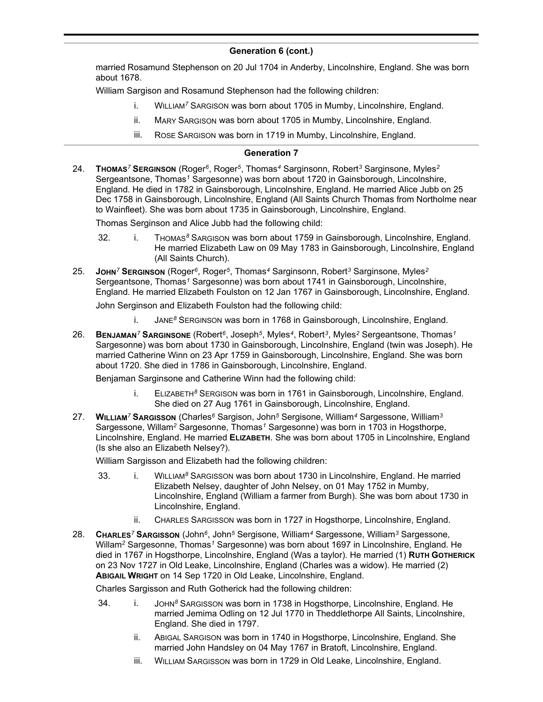married Rosamund Stephenson on 20 Jul 1704 in Anderby, Lincolnshire, England. She was born about 1678.

William Sargison and Rosamund Stephenson had the following children:

- i. WILLIAM*<sup>7</sup>* SARGISON was born about 1705 in Mumby, Lincolnshire, England.
- ii. MARY SARGISON was born about 1705 in Mumby, Lincolnshire, England.
- iii. ROSE SARGISON was born in 1719 in Mumby, Lincolnshire, England.

### **Generation 7**

24. **THOMAS***<sup>7</sup>* **SERGINSON** (Roger*<sup>6</sup>* , Roger*<sup>5</sup>* , Thomas*<sup>4</sup>* Sarginsonn, Robert*<sup>3</sup>* Sarginsone, Myles*<sup>2</sup>* Sergeantsone, Thomas*<sup>1</sup>* Sargesonne) was born about 1720 in Gainsborough, Lincolnshire, England. He died in 1782 in Gainsborough, Lincolnshire, England. He married Alice Jubb on 25 Dec 1758 in Gainsborough, Lincolnshire, England (All Saints Church Thomas from Northolme near to Wainfleet). She was born about 1735 in Gainsborough, Lincolnshire, England.

Thomas Serginson and Alice Jubb had the following child:

- 32. i. THOMAS*<sup>8</sup>* SARGISON was born about 1759 in Gainsborough, Lincolnshire, England. He married Elizabeth Law on 09 May 1783 in Gainsborough, Lincolnshire, England (All Saints Church).
- 25. **JOHN***<sup>7</sup>* **SERGINSON** (Roger*<sup>6</sup>* , Roger*<sup>5</sup>* , Thomas*<sup>4</sup>* Sarginsonn, Robert*<sup>3</sup>* Sarginsone, Myles*<sup>2</sup>* Sergeantsone, Thomas*<sup>1</sup>* Sargesonne) was born about 1741 in Gainsborough, Lincolnshire, England. He married Elizabeth Foulston on 12 Jan 1767 in Gainsborough, Lincolnshire, England. John Serginson and Elizabeth Foulston had the following child:
	- - i. JANE*<sup>8</sup>* SERGINSON was born in 1768 in Gainsborough, Lincolnshire, England.
- 26. **BENJAMAN***<sup>7</sup>* **SARGINSONE** (Robert*<sup>6</sup>* , Joseph*<sup>5</sup>* , Myles*<sup>4</sup>* , Robert*<sup>3</sup>* , Myles*<sup>2</sup>* Sergeantsone, Thomas*<sup>1</sup>* Sargesonne) was born about 1730 in Gainsborough, Lincolnshire, England (twin was Joseph). He married Catherine Winn on 23 Apr 1759 in Gainsborough, Lincolnshire, England. She was born about 1720. She died in 1786 in Gainsborough, Lincolnshire, England.

Benjaman Sarginsone and Catherine Winn had the following child:

- i. ELIZABETH*<sup>8</sup>* SERGISON was born in 1761 in Gainsborough, Lincolnshire, England. She died on 27 Aug 1761 in Gainsborough, Lincolnshire, England.
- 27. **WILLIAM***<sup>7</sup>* **SARGISSON** (Charles*<sup>6</sup>* Sargison, John*<sup>5</sup>* Sergisone, William*<sup>4</sup>* Sargessone, William*<sup>3</sup>* Sargessone, Willam*<sup>2</sup>* Sargesonne, Thomas*<sup>1</sup>* Sargesonne) was born in 1703 in Hogsthorpe, Lincolnshire, England. He married **ELIZABETH**. She was born about 1705 in Lincolnshire, England (Is she also an Elizabeth Nelsey?).

William Sargisson and Elizabeth had the following children:

- 33. i. WILLIAM*<sup>8</sup>* SARGISSON was born about 1730 in Lincolnshire, England. He married Elizabeth Nelsey, daughter of John Nelsey, on 01 May 1752 in Mumby, Lincolnshire, England (William a farmer from Burgh). She was born about 1730 in Lincolnshire, England.
	- ii. CHARLES SARGISSON was born in 1727 in Hogsthorpe, Lincolnshire, England.
- 28. **CHARLES***<sup>7</sup>* **SARGISSON** (John*<sup>6</sup>* , John*<sup>5</sup>* Sergisone, William*<sup>4</sup>* Sargessone, William*<sup>3</sup>* Sargessone, Willam*<sup>2</sup>* Sargesonne, Thomas*<sup>1</sup>* Sargesonne) was born about 1697 in Lincolnshire, England. He died in 1767 in Hogsthorpe, Lincolnshire, England (Was a taylor). He married (1) **RUTH GOTHERICK** on 23 Nov 1727 in Old Leake, Lincolnshire, England (Charles was a widow). He married (2) **ABIGAIL WRIGHT** on 14 Sep 1720 in Old Leake, Lincolnshire, England.

Charles Sargisson and Ruth Gotherick had the following children:

- 34. i. JOHN*<sup>8</sup>* SARGISSON was born in 1738 in Hogsthorpe, Lincolnshire, England. He married Jemima Odling on 12 Jul 1770 in Theddlethorpe All Saints, Lincolnshire, England. She died in 1797.
	- ii. ABIGAL SARGISON was born in 1740 in Hogsthorpe, Lincolnshire, England. She married John Handsley on 04 May 1767 in Bratoft, Lincolnshire, England.
	- iii. WILLIAM SARGISSON was born in 1729 in Old Leake, Lincolnshire, England.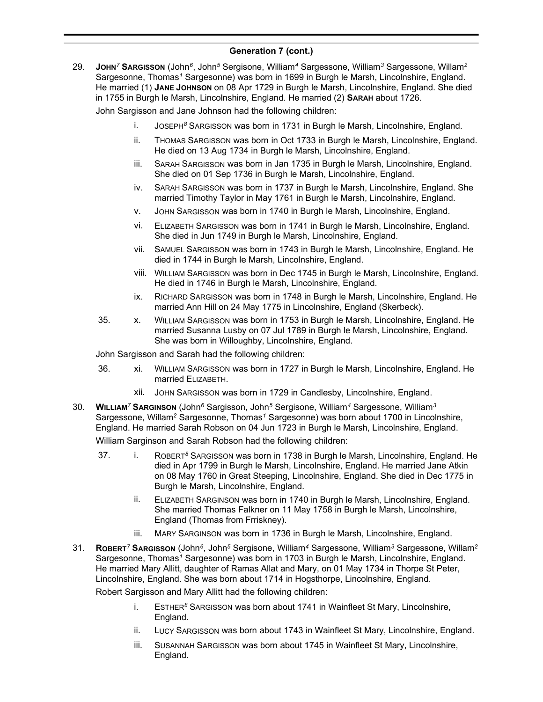29. **JOHN***<sup>7</sup>* **SARGISSON** (John*<sup>6</sup>* , John*<sup>5</sup>* Sergisone, William*<sup>4</sup>* Sargessone, William*<sup>3</sup>* Sargessone, Willam*<sup>2</sup>* Sargesonne, Thomas*<sup>1</sup>* Sargesonne) was born in 1699 in Burgh le Marsh, Lincolnshire, England. He married (1) **JANE JOHNSON** on 08 Apr 1729 in Burgh le Marsh, Lincolnshire, England. She died in 1755 in Burgh le Marsh, Lincolnshire, England. He married (2) **SARAH** about 1726.

John Sargisson and Jane Johnson had the following children:

- i. JOSEPH*<sup>8</sup>* SARGISSON was born in 1731 in Burgh le Marsh, Lincolnshire, England.
- ii. THOMAS SARGISSON was born in Oct 1733 in Burgh le Marsh, Lincolnshire, England. He died on 13 Aug 1734 in Burgh le Marsh, Lincolnshire, England.
- iii. SARAH SARGISSON was born in Jan 1735 in Burgh le Marsh, Lincolnshire, England. She died on 01 Sep 1736 in Burgh le Marsh, Lincolnshire, England.
- iv. SARAH SARGISSON was born in 1737 in Burgh le Marsh, Lincolnshire, England. She married Timothy Taylor in May 1761 in Burgh le Marsh, Lincolnshire, England.
- v. JOHN SARGISSON was born in 1740 in Burgh le Marsh, Lincolnshire, England.
- vi. ELIZABETH SARGISSON was born in 1741 in Burgh le Marsh, Lincolnshire, England. She died in Jun 1749 in Burgh le Marsh, Lincolnshire, England.
- vii. SAMUEL SARGISSON was born in 1743 in Burgh le Marsh, Lincolnshire, England. He died in 1744 in Burgh le Marsh, Lincolnshire, England.
- viii. WILLIAM SARGISSON was born in Dec 1745 in Burgh le Marsh, Lincolnshire, England. He died in 1746 in Burgh le Marsh, Lincolnshire, England.
- ix. RICHARD SARGISSON was born in 1748 in Burgh le Marsh, Lincolnshire, England. He married Ann Hill on 24 May 1775 in Lincolnshire, England (Skerbeck).
- 35. x. WILLIAM SARGISSON was born in 1753 in Burgh le Marsh, Lincolnshire, England. He married Susanna Lusby on 07 Jul 1789 in Burgh le Marsh, Lincolnshire, England. She was born in Willoughby, Lincolnshire, England.

John Sargisson and Sarah had the following children:

- 36. xi. WILLIAM SARGISSON was born in 1727 in Burgh le Marsh, Lincolnshire, England. He married ELIZABETH.
	- xii. JOHN SARGISSON was born in 1729 in Candlesby, Lincolnshire, England.
- 30. **WILLIAM***<sup>7</sup>* **SARGINSON** (John*<sup>6</sup>* Sargisson, John*<sup>5</sup>* Sergisone, William*<sup>4</sup>* Sargessone, William*<sup>3</sup>* Sargessone, Willam*<sup>2</sup>* Sargesonne, Thomas*<sup>1</sup>* Sargesonne) was born about 1700 in Lincolnshire, England. He married Sarah Robson on 04 Jun 1723 in Burgh le Marsh, Lincolnshire, England.

William Sarginson and Sarah Robson had the following children:

- 37. i. ROBERT*<sup>8</sup>* SARGISSON was born in 1738 in Burgh le Marsh, Lincolnshire, England. He died in Apr 1799 in Burgh le Marsh, Lincolnshire, England. He married Jane Atkin on 08 May 1760 in Great Steeping, Lincolnshire, England. She died in Dec 1775 in Burgh le Marsh, Lincolnshire, England.
	- ii. ELIZABETH SARGINSON was born in 1740 in Burgh le Marsh, Lincolnshire, England. She married Thomas Falkner on 11 May 1758 in Burgh le Marsh, Lincolnshire, England (Thomas from Frriskney).
	- iii. MARY SARGINSON was born in 1736 in Burgh le Marsh, Lincolnshire, England.
- 31. **ROBERT***<sup>7</sup>* **SARGISSON** (John*<sup>6</sup>* , John*<sup>5</sup>* Sergisone, William*<sup>4</sup>* Sargessone, William*<sup>3</sup>* Sargessone, Willam*<sup>2</sup>* Sargesonne, Thomas*<sup>1</sup>* Sargesonne) was born in 1703 in Burgh le Marsh, Lincolnshire, England. He married Mary Allitt, daughter of Ramas Allat and Mary, on 01 May 1734 in Thorpe St Peter, Lincolnshire, England. She was born about 1714 in Hogsthorpe, Lincolnshire, England.

Robert Sargisson and Mary Allitt had the following children:

- i. ESTHER*<sup>8</sup>* SARGISSON was born about 1741 in Wainfleet St Mary, Lincolnshire, England.
- ii. LUCY SARGISSON was born about 1743 in Wainfleet St Mary, Lincolnshire, England.
- iii. SUSANNAH SARGISSON was born about 1745 in Wainfleet St Mary, Lincolnshire, England.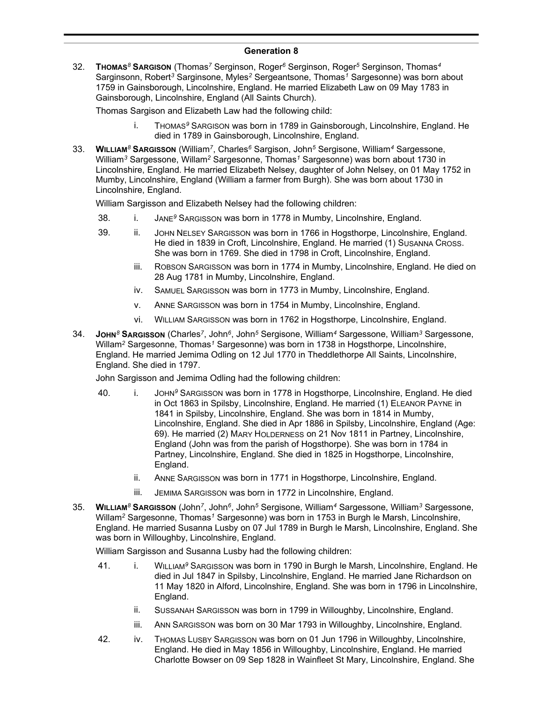### **Generation 8**

32. **THOMAS***<sup>8</sup>* **SARGISON** (Thomas*<sup>7</sup>* Serginson, Roger*<sup>6</sup>* Serginson, Roger*<sup>5</sup>* Serginson, Thomas*<sup>4</sup>* Sarginsonn, Robert*<sup>3</sup>* Sarginsone, Myles*<sup>2</sup>* Sergeantsone, Thomas*<sup>1</sup>* Sargesonne) was born about 1759 in Gainsborough, Lincolnshire, England. He married Elizabeth Law on 09 May 1783 in Gainsborough, Lincolnshire, England (All Saints Church).

Thomas Sargison and Elizabeth Law had the following child:

- i. THOMAS*<sup>9</sup>* SARGISON was born in 1789 in Gainsborough, Lincolnshire, England. He died in 1789 in Gainsborough, Lincolnshire, England.
- 33. **WILLIAM***<sup>8</sup>* **SARGISSON** (William*<sup>7</sup>* , Charles*<sup>6</sup>* Sargison, John*<sup>5</sup>* Sergisone, William*<sup>4</sup>* Sargessone, William*<sup>3</sup>* Sargessone, Willam*<sup>2</sup>* Sargesonne, Thomas*<sup>1</sup>* Sargesonne) was born about 1730 in Lincolnshire, England. He married Elizabeth Nelsey, daughter of John Nelsey, on 01 May 1752 in Mumby, Lincolnshire, England (William a farmer from Burgh). She was born about 1730 in Lincolnshire, England.

William Sargisson and Elizabeth Nelsey had the following children:

- 38. i. JANE*<sup>9</sup>* SARGISSON was born in 1778 in Mumby, Lincolnshire, England.
- 39. ii. JOHN NELSEY SARGISSON was born in 1766 in Hogsthorpe, Lincolnshire, England. He died in 1839 in Croft, Lincolnshire, England. He married (1) SUSANNA CROSS. She was born in 1769. She died in 1798 in Croft, Lincolnshire, England.
	- iii. ROBSON SARGISSON was born in 1774 in Mumby, Lincolnshire, England. He died on 28 Aug 1781 in Mumby, Lincolnshire, England.
	- iv. SAMUEL SARGISSON was born in 1773 in Mumby, Lincolnshire, England.
	- v. ANNE SARGISSON was born in 1754 in Mumby, Lincolnshire, England.
	- vi. WILLIAM SARGISSON was born in 1762 in Hogsthorpe, Lincolnshire, England.
- 34. **JOHN***<sup>8</sup>* **SARGISSON** (Charles*<sup>7</sup>* , John*<sup>6</sup>* , John*<sup>5</sup>* Sergisone, William*<sup>4</sup>* Sargessone, William*<sup>3</sup>* Sargessone, Willam*<sup>2</sup>* Sargesonne, Thomas*<sup>1</sup>* Sargesonne) was born in 1738 in Hogsthorpe, Lincolnshire, England. He married Jemima Odling on 12 Jul 1770 in Theddlethorpe All Saints, Lincolnshire, England. She died in 1797.

John Sargisson and Jemima Odling had the following children:

- 40. i. JOHN<sup>9</sup> SARGISSON was born in 1778 in Hogsthorpe, Lincolnshire, England. He died in Oct 1863 in Spilsby, Lincolnshire, England. He married (1) ELEANOR PAYNE in 1841 in Spilsby, Lincolnshire, England. She was born in 1814 in Mumby, Lincolnshire, England. She died in Apr 1886 in Spilsby, Lincolnshire, England (Age: 69). He married (2) MARY HOLDERNESS on 21 Nov 1811 in Partney, Lincolnshire, England (John was from the parish of Hogsthorpe). She was born in 1784 in Partney, Lincolnshire, England. She died in 1825 in Hogsthorpe, Lincolnshire, England.
	- ii. ANNE SARGISSON was born in 1771 in Hogsthorpe, Lincolnshire, England.
	- iii. JEMIMA SARGISSON was born in 1772 in Lincolnshire, England.
- 35. **WILLIAM***<sup>8</sup>* **SARGISSON** (John*<sup>7</sup>* , John*<sup>6</sup>* , John*<sup>5</sup>* Sergisone, William*<sup>4</sup>* Sargessone, William*<sup>3</sup>* Sargessone, Willam*<sup>2</sup>* Sargesonne, Thomas*<sup>1</sup>* Sargesonne) was born in 1753 in Burgh le Marsh, Lincolnshire, England. He married Susanna Lusby on 07 Jul 1789 in Burgh le Marsh, Lincolnshire, England. She was born in Willoughby, Lincolnshire, England.

William Sargisson and Susanna Lusby had the following children:

- 41. i. WILLIAM*<sup>9</sup>* SARGISSON was born in 1790 in Burgh le Marsh, Lincolnshire, England. He died in Jul 1847 in Spilsby, Lincolnshire, England. He married Jane Richardson on 11 May 1820 in Alford, Lincolnshire, England. She was born in 1796 in Lincolnshire, England.
	- ii. SUSSANAH SARGISSON was born in 1799 in Willoughby, Lincolnshire, England.
	- iii. ANN SARGISSON was born on 30 Mar 1793 in Willoughby, Lincolnshire, England.
- 42. iv. THOMAS LUSBY SARGISSON was born on 01 Jun 1796 in Willoughby, Lincolnshire, England. He died in May 1856 in Willoughby, Lincolnshire, England. He married Charlotte Bowser on 09 Sep 1828 in Wainfleet St Mary, Lincolnshire, England. She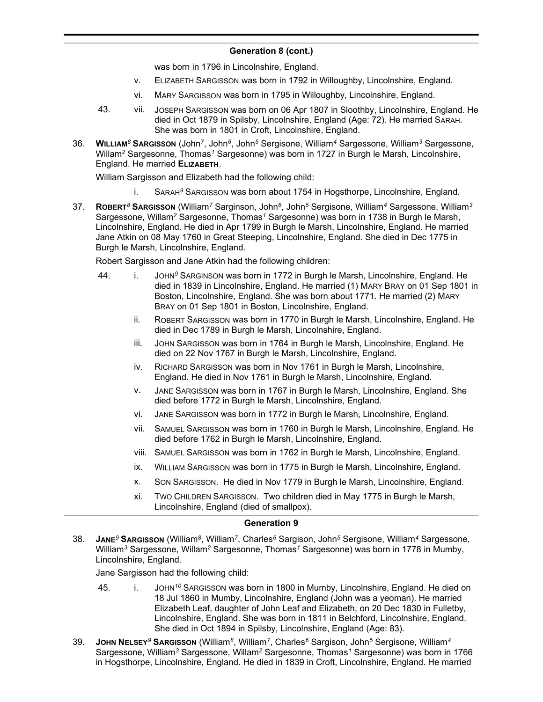was born in 1796 in Lincolnshire, England.

- v. ELIZABETH SARGISSON was born in 1792 in Willoughby, Lincolnshire, England.
- vi. MARY SARGISSON was born in 1795 in Willoughby, Lincolnshire, England.
- 43. vii. JOSEPH SARGISSON was born on 06 Apr 1807 in Sloothby, Lincolnshire, England. He died in Oct 1879 in Spilsby, Lincolnshire, England (Age: 72). He married SARAH. She was born in 1801 in Croft, Lincolnshire, England.
- 36. **WILLIAM***<sup>8</sup>* **SARGISSON** (John*<sup>7</sup>* , John*<sup>6</sup>* , John*<sup>5</sup>* Sergisone, William*<sup>4</sup>* Sargessone, William*<sup>3</sup>* Sargessone, Willam*<sup>2</sup>* Sargesonne, Thomas*<sup>1</sup>* Sargesonne) was born in 1727 in Burgh le Marsh, Lincolnshire, England. He married **ELIZABETH**.

William Sargisson and Elizabeth had the following child:

- i. SARAH*<sup>9</sup>* SARGISSON was born about 1754 in Hogsthorpe, Lincolnshire, England.
- 37. **ROBERT***<sup>8</sup>* **SARGISSON** (William*<sup>7</sup>* Sarginson, John*<sup>6</sup>* , John*<sup>5</sup>* Sergisone, William*<sup>4</sup>* Sargessone, William*<sup>3</sup>* Sargessone, Willam*<sup>2</sup>* Sargesonne, Thomas*<sup>1</sup>* Sargesonne) was born in 1738 in Burgh le Marsh, Lincolnshire, England. He died in Apr 1799 in Burgh le Marsh, Lincolnshire, England. He married Jane Atkin on 08 May 1760 in Great Steeping, Lincolnshire, England. She died in Dec 1775 in Burgh le Marsh, Lincolnshire, England.

Robert Sargisson and Jane Atkin had the following children:

- 44. i. JOHN*<sup>9</sup>* SARGINSON was born in 1772 in Burgh le Marsh, Lincolnshire, England. He died in 1839 in Lincolnshire, England. He married (1) MARY BRAY on 01 Sep 1801 in Boston, Lincolnshire, England. She was born about 1771. He married (2) MARY BRAY on 01 Sep 1801 in Boston, Lincolnshire, England.
	- ii. ROBERT SARGISSON was born in 1770 in Burgh le Marsh, Lincolnshire, England. He died in Dec 1789 in Burgh le Marsh, Lincolnshire, England.
	- iii. JOHN SARGISSON was born in 1764 in Burgh le Marsh, Lincolnshire, England. He died on 22 Nov 1767 in Burgh le Marsh, Lincolnshire, England.
	- iv. RICHARD SARGISSON was born in Nov 1761 in Burgh le Marsh, Lincolnshire, England. He died in Nov 1761 in Burgh le Marsh, Lincolnshire, England.
	- v. JANE SARGISSON was born in 1767 in Burgh le Marsh, Lincolnshire, England. She died before 1772 in Burgh le Marsh, Lincolnshire, England.
	- vi. JANE SARGISSON was born in 1772 in Burgh le Marsh, Lincolnshire, England.
	- vii. SAMUEL SARGISSON was born in 1760 in Burgh le Marsh, Lincolnshire, England. He died before 1762 in Burgh le Marsh, Lincolnshire, England.
	- viii. SAMUEL SARGISSON was born in 1762 in Burgh le Marsh, Lincolnshire, England.
	- ix. WILLIAM SARGISSON was born in 1775 in Burgh le Marsh, Lincolnshire, England.
	- x. SON SARGISSON. He died in Nov 1779 in Burgh le Marsh, Lincolnshire, England.
	- xi. TWO CHILDREN SARGISSON. Two children died in May 1775 in Burgh le Marsh, Lincolnshire, England (died of smallpox).

### **Generation 9**

38. **JANE***<sup>9</sup>* **SARGISSON** (William*<sup>8</sup>* , William*<sup>7</sup>* , Charles*<sup>6</sup>* Sargison, John*<sup>5</sup>* Sergisone, William*<sup>4</sup>* Sargessone, William*<sup>3</sup>* Sargessone, Willam*<sup>2</sup>* Sargesonne, Thomas*<sup>1</sup>* Sargesonne) was born in 1778 in Mumby, Lincolnshire, England.

Jane Sargisson had the following child:

- 45. i. JOHN*<sup>10</sup>* SARGISSON was born in 1800 in Mumby, Lincolnshire, England. He died on 18 Jul 1860 in Mumby, Lincolnshire, England (John was a yeoman). He married Elizabeth Leaf, daughter of John Leaf and Elizabeth, on 20 Dec 1830 in Fulletby, Lincolnshire, England. She was born in 1811 in Belchford, Lincolnshire, England. She died in Oct 1894 in Spilsby, Lincolnshire, England (Age: 83).
- 39. **JOHN NELSEY***<sup>9</sup>* **SARGISSON** (William*<sup>8</sup>* , William*<sup>7</sup>* , Charles*<sup>6</sup>* Sargison, John*<sup>5</sup>* Sergisone, William*<sup>4</sup>* Sargessone, William*<sup>3</sup>* Sargessone, Willam*<sup>2</sup>* Sargesonne, Thomas*<sup>1</sup>* Sargesonne) was born in 1766 in Hogsthorpe, Lincolnshire, England. He died in 1839 in Croft, Lincolnshire, England. He married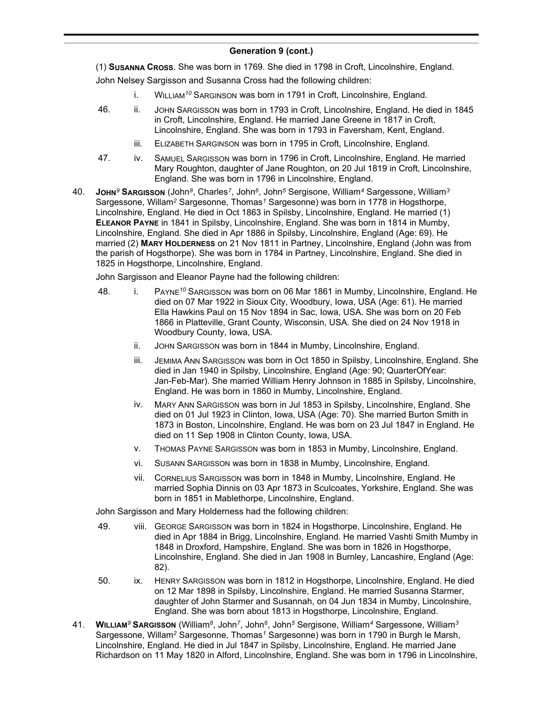(1) **SUSANNA CROSS**. She was born in 1769. She died in 1798 in Croft, Lincolnshire, England. John Nelsey Sargisson and Susanna Cross had the following children:

- i. WILLIAM*<sup>10</sup>* SARGINSON was born in 1791 in Croft, Lincolnshire, England.
- 46. ii. JOHN SARGISSON was born in 1793 in Croft, Lincolnshire, England. He died in 1845 in Croft, Lincolnshire, England. He married Jane Greene in 1817 in Croft, Lincolnshire, England. She was born in 1793 in Faversham, Kent, England.
	- iii. ELIZABETH SARGINSON was born in 1795 in Croft, Lincolnshire, England.
- 47. iv. SAMUEL SARGISSON was born in 1796 in Croft, Lincolnshire, England. He married Mary Roughton, daughter of Jane Roughton, on 20 Jul 1819 in Croft, Lincolnshire, England. She was born in 1796 in Lincolnshire, England.
- 40. **JOHN***<sup>9</sup>* **SARGISSON** (John*<sup>8</sup>* , Charles*<sup>7</sup>* , John*<sup>6</sup>* , John*<sup>5</sup>* Sergisone, William*<sup>4</sup>* Sargessone, William*<sup>3</sup>* Sargessone, Willam*<sup>2</sup>* Sargesonne, Thomas*<sup>1</sup>* Sargesonne) was born in 1778 in Hogsthorpe, Lincolnshire, England. He died in Oct 1863 in Spilsby, Lincolnshire, England. He married (1) **ELEANOR PAYNE** in 1841 in Spilsby, Lincolnshire, England. She was born in 1814 in Mumby, Lincolnshire, England. She died in Apr 1886 in Spilsby, Lincolnshire, England (Age: 69). He married (2) **MARY HOLDERNESS** on 21 Nov 1811 in Partney, Lincolnshire, England (John was from the parish of Hogsthorpe). She was born in 1784 in Partney, Lincolnshire, England. She died in 1825 in Hogsthorpe, Lincolnshire, England.

John Sargisson and Eleanor Payne had the following children:

- 48. i. PAYNE*<sup>10</sup>* SARGISSON was born on 06 Mar 1861 in Mumby, Lincolnshire, England. He died on 07 Mar 1922 in Sioux City, Woodbury, Iowa, USA (Age: 61). He married Ella Hawkins Paul on 15 Nov 1894 in Sac, Iowa, USA. She was born on 20 Feb 1866 in Platteville, Grant County, Wisconsin, USA. She died on 24 Nov 1918 in Woodbury County, Iowa, USA.
	- ii. JOHN SARGISSON was born in 1844 in Mumby, Lincolnshire, England.
	- iii. JEMIMA ANN SARGISSON was born in Oct 1850 in Spilsby, Lincolnshire, England. She died in Jan 1940 in Spilsby, Lincolnshire, England (Age: 90; QuarterOfYear: Jan-Feb-Mar). She married William Henry Johnson in 1885 in Spilsby, Lincolnshire, England. He was born in 1860 in Mumby, Lincolnshire, England.
	- iv. MARY ANN SARGISSON was born in Jul 1853 in Spilsby, Lincolnshire, England. She died on 01 Jul 1923 in Clinton, Iowa, USA (Age: 70). She married Burton Smith in 1873 in Boston, Lincolnshire, England. He was born on 23 Jul 1847 in England. He died on 11 Sep 1908 in Clinton County, Iowa, USA.
	- v. THOMAS PAYNE SARGISSON was born in 1853 in Mumby, Lincolnshire, England.
	- vi. SUSANN SARGISSON was born in 1838 in Mumby, Lincolnshire, England.
	- vii. CORNELIUS SARGISSON was born in 1848 in Mumby, Lincolnshire, England. He married Sophia Dinnis on 03 Apr 1873 in Sculcoates, Yorkshire, England. She was born in 1851 in Mablethorpe, Lincolnshire, England.

John Sargisson and Mary Holderness had the following children:

- 49. viii. GEORGE SARGISSON was born in 1824 in Hogsthorpe, Lincolnshire, England. He died in Apr 1884 in Brigg, Lincolnshire, England. He married Vashti Smith Mumby in 1848 in Droxford, Hampshire, England. She was born in 1826 in Hogsthorpe, Lincolnshire, England. She died in Jan 1908 in Burnley, Lancashire, England (Age: 82).
- 50. ix. HENRY SARGISSON was born in 1812 in Hogsthorpe, Lincolnshire, England. He died on 12 Mar 1898 in Spilsby, Lincolnshire, England. He married Susanna Starmer, daughter of John Starmer and Susannah, on 04 Jun 1834 in Mumby, Lincolnshire, England. She was born about 1813 in Hogsthorpe, Lincolnshire, England.
- 41. **WILLIAM***<sup>9</sup>* **SARGISSON** (William*<sup>8</sup>* , John*<sup>7</sup>* , John*<sup>6</sup>* , John*<sup>5</sup>* Sergisone, William*<sup>4</sup>* Sargessone, William*<sup>3</sup>* Sargessone, Willam*<sup>2</sup>* Sargesonne, Thomas*<sup>1</sup>* Sargesonne) was born in 1790 in Burgh le Marsh, Lincolnshire, England. He died in Jul 1847 in Spilsby, Lincolnshire, England. He married Jane Richardson on 11 May 1820 in Alford, Lincolnshire, England. She was born in 1796 in Lincolnshire,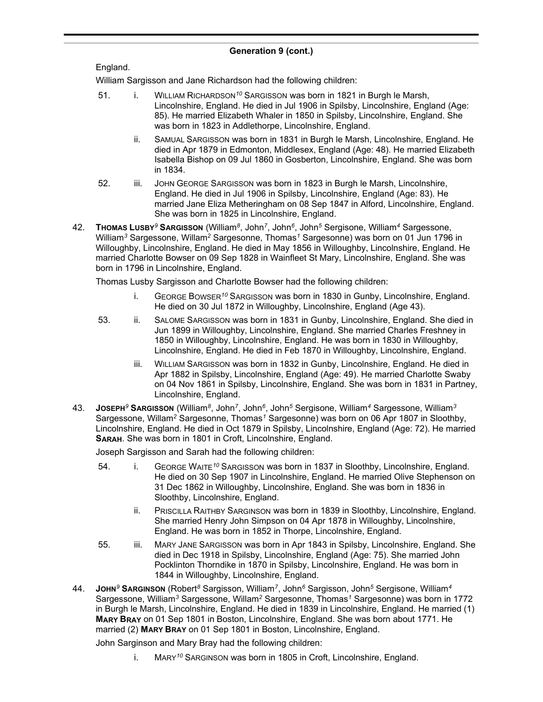# England.

William Sargisson and Jane Richardson had the following children:

- 51. i. WILLIAM RICHARDSON<sup>10</sup> SARGISSON was born in 1821 in Burgh le Marsh, Lincolnshire, England. He died in Jul 1906 in Spilsby, Lincolnshire, England (Age: 85). He married Elizabeth Whaler in 1850 in Spilsby, Lincolnshire, England. She was born in 1823 in Addlethorpe, Lincolnshire, England.
	- ii. SAMUAL SARGISSON was born in 1831 in Burgh le Marsh, Lincolnshire, England. He died in Apr 1879 in Edmonton, Middlesex, England (Age: 48). He married Elizabeth Isabella Bishop on 09 Jul 1860 in Gosberton, Lincolnshire, England. She was born in 1834.
- 52. iii. JOHN GEORGE SARGISSON was born in 1823 in Burgh le Marsh, Lincolnshire, England. He died in Jul 1906 in Spilsby, Lincolnshire, England (Age: 83). He married Jane Eliza Metheringham on 08 Sep 1847 in Alford, Lincolnshire, England. She was born in 1825 in Lincolnshire, England.
- 42. **THOMAS LUSBY***<sup>9</sup>* **SARGISSON** (William*<sup>8</sup>* , John*<sup>7</sup>* , John*<sup>6</sup>* , John*<sup>5</sup>* Sergisone, William*<sup>4</sup>* Sargessone, William*<sup>3</sup>* Sargessone, Willam*<sup>2</sup>* Sargesonne, Thomas*<sup>1</sup>* Sargesonne) was born on 01 Jun 1796 in Willoughby, Lincolnshire, England. He died in May 1856 in Willoughby, Lincolnshire, England. He married Charlotte Bowser on 09 Sep 1828 in Wainfleet St Mary, Lincolnshire, England. She was born in 1796 in Lincolnshire, England.

Thomas Lusby Sargisson and Charlotte Bowser had the following children:

- i. GEORGE BOWSER*<sup>10</sup>* SARGISSON was born in 1830 in Gunby, Lincolnshire, England. He died on 30 Jul 1872 in Willoughby, Lincolnshire, England (Age 43).
- 53. ii. SALOME SARGISSON was born in 1831 in Gunby, Lincolnshire, England. She died in Jun 1899 in Willoughby, Lincolnshire, England. She married Charles Freshney in 1850 in Willoughby, Lincolnshire, England. He was born in 1830 in Willoughby, Lincolnshire, England. He died in Feb 1870 in Willoughby, Lincolnshire, England.
	- iii. WILLIAM SARGISSON was born in 1832 in Gunby, Lincolnshire, England. He died in Apr 1882 in Spilsby, Lincolnshire, England (Age: 49). He married Charlotte Swaby on 04 Nov 1861 in Spilsby, Lincolnshire, England. She was born in 1831 in Partney, Lincolnshire, England.
- 43. **JOSEPH***<sup>9</sup>* **SARGISSON** (William*<sup>8</sup>* , John*<sup>7</sup>* , John*<sup>6</sup>* , John*<sup>5</sup>* Sergisone, William*<sup>4</sup>* Sargessone, William*<sup>3</sup>* Sargessone, Willam*<sup>2</sup>* Sargesonne, Thomas*<sup>1</sup>* Sargesonne) was born on 06 Apr 1807 in Sloothby, Lincolnshire, England. He died in Oct 1879 in Spilsby, Lincolnshire, England (Age: 72). He married **SARAH**. She was born in 1801 in Croft, Lincolnshire, England.

Joseph Sargisson and Sarah had the following children:

- 54. i. GEORGE WAITE*<sup>10</sup>* SARGISSON was born in 1837 in Sloothby, Lincolnshire, England. He died on 30 Sep 1907 in Lincolnshire, England. He married Olive Stephenson on 31 Dec 1862 in Willoughby, Lincolnshire, England. She was born in 1836 in Sloothby, Lincolnshire, England.
	- ii. PRISCILLA RAITHBY SARGINSON was born in 1839 in Sloothby, Lincolnshire, England. She married Henry John Simpson on 04 Apr 1878 in Willoughby, Lincolnshire, England. He was born in 1852 in Thorpe, Lincolnshire, England.
- 55. iii. MARY JANE SARGISSON was born in Apr 1843 in Spilsby, Lincolnshire, England. She died in Dec 1918 in Spilsby, Lincolnshire, England (Age: 75). She married John Pocklinton Thorndike in 1870 in Spilsby, Lincolnshire, England. He was born in 1844 in Willoughby, Lincolnshire, England.
- 44. **JOHN***<sup>9</sup>* **SARGINSON** (Robert*<sup>8</sup>* Sargisson, William*<sup>7</sup>* , John*<sup>6</sup>* Sargisson, John*<sup>5</sup>* Sergisone, William*<sup>4</sup>* Sargessone, William*<sup>3</sup>* Sargessone, Willam*<sup>2</sup>* Sargesonne, Thomas*<sup>1</sup>* Sargesonne) was born in 1772 in Burgh le Marsh, Lincolnshire, England. He died in 1839 in Lincolnshire, England. He married (1) **MARY BRAY** on 01 Sep 1801 in Boston, Lincolnshire, England. She was born about 1771. He married (2) **MARY BRAY** on 01 Sep 1801 in Boston, Lincolnshire, England.

John Sarginson and Mary Bray had the following children:

i. MARY*<sup>10</sup>* SARGINSON was born in 1805 in Croft, Lincolnshire, England.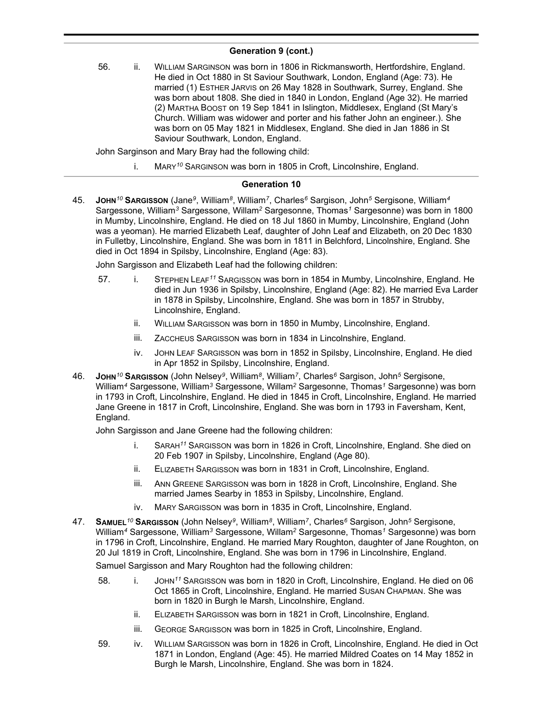56. ii. WILLIAM SARGINSON was born in 1806 in Rickmansworth, Hertfordshire, England. He died in Oct 1880 in St Saviour Southwark, London, England (Age: 73). He married (1) ESTHER JARVIS on 26 May 1828 in Southwark, Surrey, England. She was born about 1808. She died in 1840 in London, England (Age 32). He married (2) MARTHA BOOST on 19 Sep 1841 in Islington, Middlesex, England (St Mary's Church. William was widower and porter and his father John an engineer.). She was born on 05 May 1821 in Middlesex, England. She died in Jan 1886 in St Saviour Southwark, London, England.

John Sarginson and Mary Bray had the following child:

i. MARY*<sup>10</sup>* SARGINSON was born in 1805 in Croft, Lincolnshire, England.

## **Generation 10**

45. **JOHN***<sup>10</sup>* **SARGISSON** (Jane*<sup>9</sup>* , William*<sup>8</sup>* , William*<sup>7</sup>* , Charles*<sup>6</sup>* Sargison, John*<sup>5</sup>* Sergisone, William*<sup>4</sup>* Sargessone, William*<sup>3</sup>* Sargessone, Willam*<sup>2</sup>* Sargesonne, Thomas*<sup>1</sup>* Sargesonne) was born in 1800 in Mumby, Lincolnshire, England. He died on 18 Jul 1860 in Mumby, Lincolnshire, England (John was a yeoman). He married Elizabeth Leaf, daughter of John Leaf and Elizabeth, on 20 Dec 1830 in Fulletby, Lincolnshire, England. She was born in 1811 in Belchford, Lincolnshire, England. She died in Oct 1894 in Spilsby, Lincolnshire, England (Age: 83).

John Sargisson and Elizabeth Leaf had the following children:

- 57. i. STEPHEN LEAF*<sup>11</sup>* SARGISSON was born in 1854 in Mumby, Lincolnshire, England. He died in Jun 1936 in Spilsby, Lincolnshire, England (Age: 82). He married Eva Larder in 1878 in Spilsby, Lincolnshire, England. She was born in 1857 in Strubby, Lincolnshire, England.
	- ii. WILLIAM SARGISSON was born in 1850 in Mumby, Lincolnshire, England.
	- iii. ZACCHEUS SARGISSON was born in 1834 in Lincolnshire, England.
	- iv. JOHN LEAF SARGISSON was born in 1852 in Spilsby, Lincolnshire, England. He died in Apr 1852 in Spilsby, Lincolnshire, England.
- 46. **JOHN***<sup>10</sup>* **SARGISSON** (John Nelsey*<sup>9</sup>* , William*<sup>8</sup>* , William*<sup>7</sup>* , Charles*<sup>6</sup>* Sargison, John*<sup>5</sup>* Sergisone, William*<sup>4</sup>* Sargessone, William*<sup>3</sup>* Sargessone, Willam*<sup>2</sup>* Sargesonne, Thomas*<sup>1</sup>* Sargesonne) was born in 1793 in Croft, Lincolnshire, England. He died in 1845 in Croft, Lincolnshire, England. He married Jane Greene in 1817 in Croft, Lincolnshire, England. She was born in 1793 in Faversham, Kent, England.

John Sargisson and Jane Greene had the following children:

- i. SARAH*<sup>11</sup>* SARGISSON was born in 1826 in Croft, Lincolnshire, England. She died on 20 Feb 1907 in Spilsby, Lincolnshire, England (Age 80).
- ii. ELIZABETH SARGISSON was born in 1831 in Croft, Lincolnshire, England.
- iii. ANN GREENE SARGISSON was born in 1828 in Croft, Lincolnshire, England. She married James Searby in 1853 in Spilsby, Lincolnshire, England.
- iv. MARY SARGISSON was born in 1835 in Croft, Lincolnshire, England.
- 47. **SAMUEL***<sup>10</sup>* **SARGISSON** (John Nelsey*<sup>9</sup>* , William*<sup>8</sup>* , William*<sup>7</sup>* , Charles*<sup>6</sup>* Sargison, John*<sup>5</sup>* Sergisone, William*<sup>4</sup>* Sargessone, William*<sup>3</sup>* Sargessone, Willam*<sup>2</sup>* Sargesonne, Thomas*<sup>1</sup>* Sargesonne) was born in 1796 in Croft, Lincolnshire, England. He married Mary Roughton, daughter of Jane Roughton, on 20 Jul 1819 in Croft, Lincolnshire, England. She was born in 1796 in Lincolnshire, England.

Samuel Sargisson and Mary Roughton had the following children:

- 58. i. JOHN*<sup>11</sup>* SARGISSON was born in 1820 in Croft, Lincolnshire, England. He died on 06 Oct 1865 in Croft, Lincolnshire, England. He married SUSAN CHAPMAN. She was born in 1820 in Burgh le Marsh, Lincolnshire, England.
	- ii. ELIZABETH SARGISSON was born in 1821 in Croft, Lincolnshire, England.
	- iii. GEORGE SARGISSON was born in 1825 in Croft, Lincolnshire, England.
- 59. iv. WILLIAM SARGISSON was born in 1826 in Croft, Lincolnshire, England. He died in Oct 1871 in London, England (Age: 45). He married Mildred Coates on 14 May 1852 in Burgh le Marsh, Lincolnshire, England. She was born in 1824.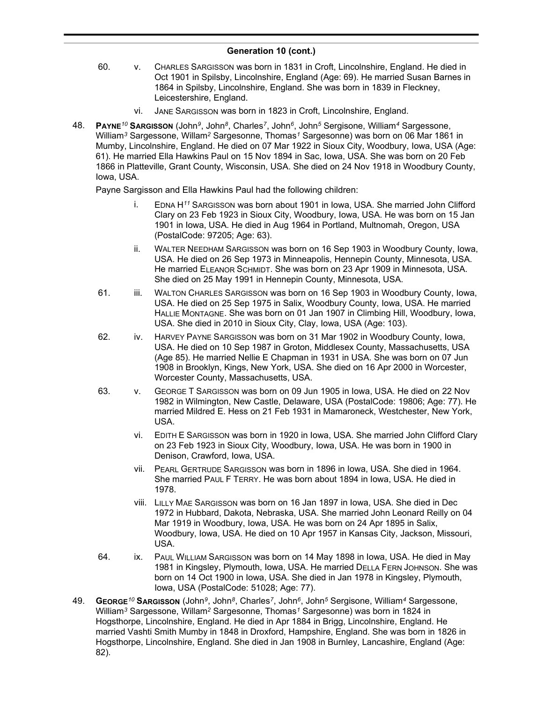- 60. v. CHARLES SARGISSON was born in 1831 in Croft, Lincolnshire, England. He died in Oct 1901 in Spilsby, Lincolnshire, England (Age: 69). He married Susan Barnes in 1864 in Spilsby, Lincolnshire, England. She was born in 1839 in Fleckney, Leicestershire, England.
	- vi. JANE SARGISSON was born in 1823 in Croft, Lincolnshire, England.
- 48. **PAYNE***<sup>10</sup>* **SARGISSON** (John*<sup>9</sup>* , John*<sup>8</sup>* , Charles*<sup>7</sup>* , John*<sup>6</sup>* , John*<sup>5</sup>* Sergisone, William*<sup>4</sup>* Sargessone, William*<sup>3</sup>* Sargessone, Willam*<sup>2</sup>* Sargesonne, Thomas*<sup>1</sup>* Sargesonne) was born on 06 Mar 1861 in Mumby, Lincolnshire, England. He died on 07 Mar 1922 in Sioux City, Woodbury, Iowa, USA (Age: 61). He married Ella Hawkins Paul on 15 Nov 1894 in Sac, Iowa, USA. She was born on 20 Feb 1866 in Platteville, Grant County, Wisconsin, USA. She died on 24 Nov 1918 in Woodbury County, Iowa, USA.

Payne Sargisson and Ella Hawkins Paul had the following children:

- i. EDNA H*<sup>11</sup>* SARGISSON was born about 1901 in Iowa, USA. She married John Clifford Clary on 23 Feb 1923 in Sioux City, Woodbury, Iowa, USA. He was born on 15 Jan 1901 in Iowa, USA. He died in Aug 1964 in Portland, Multnomah, Oregon, USA (PostalCode: 97205; Age: 63).
- ii. WALTER NEEDHAM SARGISSON was born on 16 Sep 1903 in Woodbury County, Iowa, USA. He died on 26 Sep 1973 in Minneapolis, Hennepin County, Minnesota, USA. He married ELEANOR SCHMIDT. She was born on 23 Apr 1909 in Minnesota, USA. She died on 25 May 1991 in Hennepin County, Minnesota, USA.
- 61. iii. WALTON CHARLES SARGISSON was born on 16 Sep 1903 in Woodbury County, Iowa, USA. He died on 25 Sep 1975 in Salix, Woodbury County, Iowa, USA. He married HALLIE MONTAGNE. She was born on 01 Jan 1907 in Climbing Hill, Woodbury, Iowa, USA. She died in 2010 in Sioux City, Clay, Iowa, USA (Age: 103).
- 62. iv. HARVEY PAYNE SARGISSON was born on 31 Mar 1902 in Woodbury County, Iowa, USA. He died on 10 Sep 1987 in Groton, Middlesex County, Massachusetts, USA (Age 85). He married Nellie E Chapman in 1931 in USA. She was born on 07 Jun 1908 in Brooklyn, Kings, New York, USA. She died on 16 Apr 2000 in Worcester, Worcester County, Massachusetts, USA.
- 63. v. GEORGE T SARGISSON was born on 09 Jun 1905 in Iowa, USA. He died on 22 Nov 1982 in Wilmington, New Castle, Delaware, USA (PostalCode: 19806; Age: 77). He married Mildred E. Hess on 21 Feb 1931 in Mamaroneck, Westchester, New York, USA.
	- vi. EDITH E SARGISSON was born in 1920 in Iowa, USA. She married John Clifford Clary on 23 Feb 1923 in Sioux City, Woodbury, Iowa, USA. He was born in 1900 in Denison, Crawford, Iowa, USA.
	- vii. PEARL GERTRUDE SARGISSON was born in 1896 in Iowa, USA. She died in 1964. She married PAUL F TERRY. He was born about 1894 in Iowa, USA. He died in 1978.
	- viii. LILLY MAE SARGISSON was born on 16 Jan 1897 in Iowa, USA. She died in Dec 1972 in Hubbard, Dakota, Nebraska, USA. She married John Leonard Reilly on 04 Mar 1919 in Woodbury, Iowa, USA. He was born on 24 Apr 1895 in Salix, Woodbury, Iowa, USA. He died on 10 Apr 1957 in Kansas City, Jackson, Missouri, USA.
- 64. ix. PAUL WILLIAM SARGISSON was born on 14 May 1898 in Iowa, USA. He died in May 1981 in Kingsley, Plymouth, Iowa, USA. He married DELLA FERN JOHNSON. She was born on 14 Oct 1900 in Iowa, USA. She died in Jan 1978 in Kingsley, Plymouth, Iowa, USA (PostalCode: 51028; Age: 77).
- 49. **GEORGE***<sup>10</sup>* **SARGISSON** (John*<sup>9</sup>* , John*<sup>8</sup>* , Charles*<sup>7</sup>* , John*<sup>6</sup>* , John*<sup>5</sup>* Sergisone, William*<sup>4</sup>* Sargessone, William*<sup>3</sup>* Sargessone, Willam*<sup>2</sup>* Sargesonne, Thomas*<sup>1</sup>* Sargesonne) was born in 1824 in Hogsthorpe, Lincolnshire, England. He died in Apr 1884 in Brigg, Lincolnshire, England. He married Vashti Smith Mumby in 1848 in Droxford, Hampshire, England. She was born in 1826 in Hogsthorpe, Lincolnshire, England. She died in Jan 1908 in Burnley, Lancashire, England (Age: 82).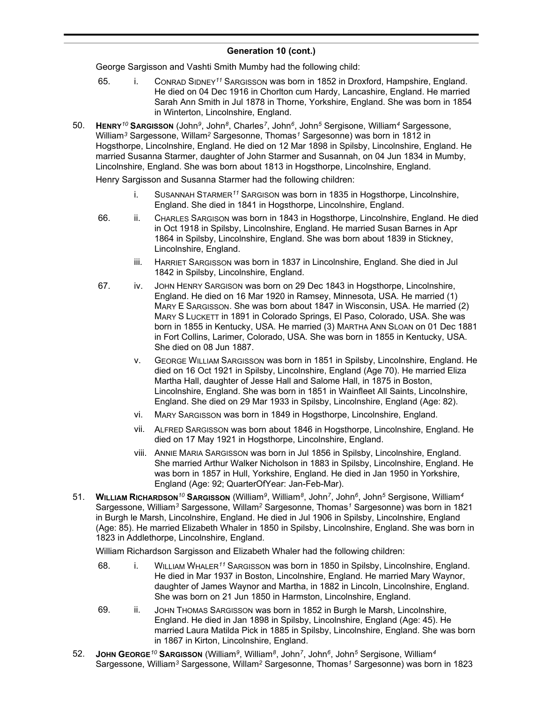George Sargisson and Vashti Smith Mumby had the following child:

- 65. i. CONRAD SIDNEY*<sup>11</sup>* SARGISSON was born in 1852 in Droxford, Hampshire, England. He died on 04 Dec 1916 in Chorlton cum Hardy, Lancashire, England. He married Sarah Ann Smith in Jul 1878 in Thorne, Yorkshire, England. She was born in 1854 in Winterton, Lincolnshire, England.
- 50. **HENRY***<sup>10</sup>* **SARGISSON** (John*<sup>9</sup>* , John*<sup>8</sup>* , Charles*<sup>7</sup>* , John*<sup>6</sup>* , John*<sup>5</sup>* Sergisone, William*<sup>4</sup>* Sargessone, William*<sup>3</sup>* Sargessone, Willam*<sup>2</sup>* Sargesonne, Thomas*<sup>1</sup>* Sargesonne) was born in 1812 in Hogsthorpe, Lincolnshire, England. He died on 12 Mar 1898 in Spilsby, Lincolnshire, England. He married Susanna Starmer, daughter of John Starmer and Susannah, on 04 Jun 1834 in Mumby, Lincolnshire, England. She was born about 1813 in Hogsthorpe, Lincolnshire, England.

Henry Sargisson and Susanna Starmer had the following children:

- i. SUSANNAH STARMER*<sup>11</sup>* SARGISON was born in 1835 in Hogsthorpe, Lincolnshire, England. She died in 1841 in Hogsthorpe, Lincolnshire, England.
- 66. ii. CHARLES SARGISON was born in 1843 in Hogsthorpe, Lincolnshire, England. He died in Oct 1918 in Spilsby, Lincolnshire, England. He married Susan Barnes in Apr 1864 in Spilsby, Lincolnshire, England. She was born about 1839 in Stickney, Lincolnshire, England.
	- iii. HARRIET SARGISSON was born in 1837 in Lincolnshire, England. She died in Jul 1842 in Spilsby, Lincolnshire, England.
- 67. iv. JOHN HENRY SARGISON was born on 29 Dec 1843 in Hogsthorpe, Lincolnshire, England. He died on 16 Mar 1920 in Ramsey, Minnesota, USA. He married (1) MARY E SARGISSON. She was born about 1847 in Wisconsin, USA. He married (2) MARY S LUCKETT in 1891 in Colorado Springs, El Paso, Colorado, USA. She was born in 1855 in Kentucky, USA. He married (3) MARTHA ANN SLOAN on 01 Dec 1881 in Fort Collins, Larimer, Colorado, USA. She was born in 1855 in Kentucky, USA. She died on 08 Jun 1887.
	- v. GEORGE WILLIAM SARGISSON was born in 1851 in Spilsby, Lincolnshire, England. He died on 16 Oct 1921 in Spilsby, Lincolnshire, England (Age 70). He married Eliza Martha Hall, daughter of Jesse Hall and Salome Hall, in 1875 in Boston, Lincolnshire, England. She was born in 1851 in Wainfleet All Saints, Lincolnshire, England. She died on 29 Mar 1933 in Spilsby, Lincolnshire, England (Age: 82).
	- vi. MARY SARGISSON was born in 1849 in Hogsthorpe, Lincolnshire, England.
	- vii. ALFRED SARGISSON was born about 1846 in Hogsthorpe, Lincolnshire, England. He died on 17 May 1921 in Hogsthorpe, Lincolnshire, England.
	- viii. ANNIE MARIA SARGISSON was born in Jul 1856 in Spilsby, Lincolnshire, England. She married Arthur Walker Nicholson in 1883 in Spilsby, Lincolnshire, England. He was born in 1857 in Hull, Yorkshire, England. He died in Jan 1950 in Yorkshire, England (Age: 92; QuarterOfYear: Jan-Feb-Mar).
- 51. **WILLIAM RICHARDSON***<sup>10</sup>* **SARGISSON** (William*<sup>9</sup>* , William*<sup>8</sup>* , John*<sup>7</sup>* , John*<sup>6</sup>* , John*<sup>5</sup>* Sergisone, William*<sup>4</sup>* Sargessone, William*<sup>3</sup>* Sargessone, Willam*<sup>2</sup>* Sargesonne, Thomas*<sup>1</sup>* Sargesonne) was born in 1821 in Burgh le Marsh, Lincolnshire, England. He died in Jul 1906 in Spilsby, Lincolnshire, England (Age: 85). He married Elizabeth Whaler in 1850 in Spilsby, Lincolnshire, England. She was born in 1823 in Addlethorpe, Lincolnshire, England.

William Richardson Sargisson and Elizabeth Whaler had the following children:

- 68. i. WILLIAM WHALER*<sup>11</sup>* SARGISSON was born in 1850 in Spilsby, Lincolnshire, England. He died in Mar 1937 in Boston, Lincolnshire, England. He married Mary Waynor, daughter of James Waynor and Martha, in 1882 in Lincoln, Lincolnshire, England. She was born on 21 Jun 1850 in Harmston, Lincolnshire, England.
- 69. ii. JOHN THOMAS SARGISSON was born in 1852 in Burgh le Marsh, Lincolnshire, England. He died in Jan 1898 in Spilsby, Lincolnshire, England (Age: 45). He married Laura Matilda Pick in 1885 in Spilsby, Lincolnshire, England. She was born in 1867 in Kirton, Lincolnshire, England.
- 52. **JOHN GEORGE***<sup>10</sup>* **SARGISSON** (William*<sup>9</sup>* , William*<sup>8</sup>* , John*<sup>7</sup>* , John*<sup>6</sup>* , John*<sup>5</sup>* Sergisone, William*<sup>4</sup>* Sargessone, William*<sup>3</sup>* Sargessone, Willam*<sup>2</sup>* Sargesonne, Thomas*<sup>1</sup>* Sargesonne) was born in 1823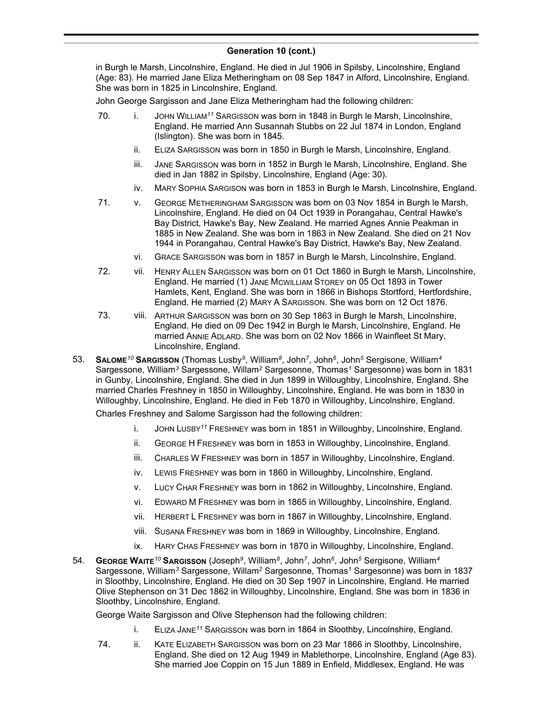in Burgh le Marsh, Lincolnshire, England. He died in Jul 1906 in Spilsby, Lincolnshire, England (Age: 83). He married Jane Eliza Metheringham on 08 Sep 1847 in Alford, Lincolnshire, England. She was born in 1825 in Lincolnshire, England.

John George Sargisson and Jane Eliza Metheringham had the following children:

- 70. i. JOHN WILLIAM*<sup>11</sup>* SARGISSON was born in 1848 in Burgh le Marsh, Lincolnshire, England. He married Ann Susannah Stubbs on 22 Jul 1874 in London, England (Islington). She was born in 1845.
	- ii. ELIZA SARGISSON was born in 1850 in Burgh le Marsh, Lincolnshire, England.
	- iii. JANE SARGISSON was born in 1852 in Burgh le Marsh, Lincolnshire, England. She died in Jan 1882 in Spilsby, Lincolnshire, England (Age: 30).
	- iv. MARY SOPHIA SARGISON was born in 1853 in Burgh le Marsh, Lincolnshire, England.
- 71. v. GEORGE METHERINGHAM SARGISSON was born on 03 Nov 1854 in Burgh le Marsh, Lincolnshire, England. He died on 04 Oct 1939 in Porangahau, Central Hawke's Bay District, Hawke's Bay, New Zealand. He married Agnes Annie Peakman in 1885 in New Zealand. She was born in 1863 in New Zealand. She died on 21 Nov 1944 in Porangahau, Central Hawke's Bay District, Hawke's Bay, New Zealand.
	- vi. GRACE SARGISSON was born in 1857 in Burgh le Marsh, Lincolnshire, England.
- 72. vii. HENRY ALLEN SARGISSON was born on 01 Oct 1860 in Burgh le Marsh, Lincolnshire, England. He married (1) JANE MCWILLIAM STOREY on 05 Oct 1893 in Tower Hamlets, Kent, England. She was born in 1866 in Bishops Stortford, Hertfordshire, England. He married (2) MARY A SARGISSON. She was born on 12 Oct 1876.
- 73. viii. ARTHUR SARGISSON was born on 30 Sep 1863 in Burgh le Marsh, Lincolnshire, England. He died on 09 Dec 1942 in Burgh le Marsh, Lincolnshire, England. He married ANNIE ADLARD. She was born on 02 Nov 1866 in Wainfleet St Mary, Lincolnshire, England.
- 53. **SALOME***<sup>10</sup>* **SARGISSON** (Thomas Lusby*<sup>9</sup>* , William*<sup>8</sup>* , John*<sup>7</sup>* , John*<sup>6</sup>* , John*<sup>5</sup>* Sergisone, William*<sup>4</sup>* Sargessone, William*<sup>3</sup>* Sargessone, Willam*<sup>2</sup>* Sargesonne, Thomas*<sup>1</sup>* Sargesonne) was born in 1831 in Gunby, Lincolnshire, England. She died in Jun 1899 in Willoughby, Lincolnshire, England. She married Charles Freshney in 1850 in Willoughby, Lincolnshire, England. He was born in 1830 in Willoughby, Lincolnshire, England. He died in Feb 1870 in Willoughby, Lincolnshire, England. Charles Freshney and Salome Sargisson had the following children:

i. JOHN LUSBY*<sup>11</sup>* FRESHNEY was born in 1851 in Willoughby, Lincolnshire, England.

- ii. GEORGE H FRESHNEY was born in 1853 in Willoughby, Lincolnshire, England.
- iii. CHARLES W FRESHNEY was born in 1857 in Willoughby, Lincolnshire, England.
- iv. LEWIS FRESHNEY was born in 1860 in Willoughby, Lincolnshire, England.
- v. LUCY CHAR FRESHNEY was born in 1862 in Willoughby, Lincolnshire, England.
- vi. EDWARD M FRESHNEY was born in 1865 in Willoughby, Lincolnshire, England.
- vii. HERBERT L FRESHNEY was born in 1867 in Willoughby, Lincolnshire, England.
- viii. SUSANA FRESHNEY was born in 1869 in Willoughby, Lincolnshire, England.
- ix. HARY CHAS FRESHNEY was born in 1870 in Willoughby, Lincolnshire, England.
- 54. **GEORGE WAITE***<sup>10</sup>* **SARGISSON** (Joseph*<sup>9</sup>* , William*<sup>8</sup>* , John*<sup>7</sup>* , John*<sup>6</sup>* , John*<sup>5</sup>* Sergisone, William*<sup>4</sup>* Sargessone, William*<sup>3</sup>* Sargessone, Willam*<sup>2</sup>* Sargesonne, Thomas*<sup>1</sup>* Sargesonne) was born in 1837 in Sloothby, Lincolnshire, England. He died on 30 Sep 1907 in Lincolnshire, England. He married Olive Stephenson on 31 Dec 1862 in Willoughby, Lincolnshire, England. She was born in 1836 in Sloothby, Lincolnshire, England.

George Waite Sargisson and Olive Stephenson had the following children:

- i. ELIZA JANE*<sup>11</sup>* SARGISSON was born in 1864 in Sloothby, Lincolnshire, England.
- 74. ii. KATE ELIZABETH SARGISSON was born on 23 Mar 1866 in Sloothby, Lincolnshire, England. She died on 12 Aug 1949 in Mablethorpe, Lincolnshire, England (Age 83). She married Joe Coppin on 15 Jun 1889 in Enfield, Middlesex, England. He was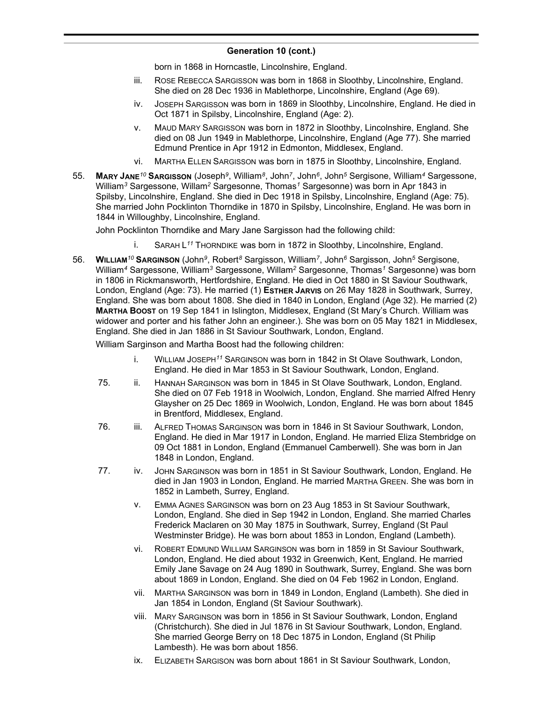born in 1868 in Horncastle, Lincolnshire, England.

- iii. ROSE REBECCA SARGISSON was born in 1868 in Sloothby, Lincolnshire, England. She died on 28 Dec 1936 in Mablethorpe, Lincolnshire, England (Age 69).
- iv. JOSEPH SARGISSON was born in 1869 in Sloothby, Lincolnshire, England. He died in Oct 1871 in Spilsby, Lincolnshire, England (Age: 2).
- v. MAUD MARY SARGISSON was born in 1872 in Sloothby, Lincolnshire, England. She died on 08 Jun 1949 in Mablethorpe, Lincolnshire, England (Age 77). She married Edmund Prentice in Apr 1912 in Edmonton, Middlesex, England.
- vi. MARTHA ELLEN SARGISSON was born in 1875 in Sloothby, Lincolnshire, England.
- 55. **MARY JANE***<sup>10</sup>* **SARGISSON** (Joseph*<sup>9</sup>* , William*<sup>8</sup>* , John*<sup>7</sup>* , John*<sup>6</sup>* , John*<sup>5</sup>* Sergisone, William*<sup>4</sup>* Sargessone, William*<sup>3</sup>* Sargessone, Willam*<sup>2</sup>* Sargesonne, Thomas*<sup>1</sup>* Sargesonne) was born in Apr 1843 in Spilsby, Lincolnshire, England. She died in Dec 1918 in Spilsby, Lincolnshire, England (Age: 75). She married John Pocklinton Thorndike in 1870 in Spilsby, Lincolnshire, England. He was born in 1844 in Willoughby, Lincolnshire, England.

John Pocklinton Thorndike and Mary Jane Sargisson had the following child:

- i. SARAH L *<sup>11</sup>* THORNDIKE was born in 1872 in Sloothby, Lincolnshire, England.
- 56. **WILLIAM***<sup>10</sup>* **SARGINSON** (John*<sup>9</sup>* , Robert*<sup>8</sup>* Sargisson, William*<sup>7</sup>* , John*<sup>6</sup>* Sargisson, John*<sup>5</sup>* Sergisone, William*<sup>4</sup>* Sargessone, William*<sup>3</sup>* Sargessone, Willam*<sup>2</sup>* Sargesonne, Thomas*<sup>1</sup>* Sargesonne) was born in 1806 in Rickmansworth, Hertfordshire, England. He died in Oct 1880 in St Saviour Southwark, London, England (Age: 73). He married (1) **ESTHER JARVIS** on 26 May 1828 in Southwark, Surrey, England. She was born about 1808. She died in 1840 in London, England (Age 32). He married (2) **MARTHA BOOST** on 19 Sep 1841 in Islington, Middlesex, England (St Mary's Church. William was widower and porter and his father John an engineer.). She was born on 05 May 1821 in Middlesex, England. She died in Jan 1886 in St Saviour Southwark, London, England.

William Sarginson and Martha Boost had the following children:

- i. WILLIAM JOSEPH*<sup>11</sup>* SARGINSON was born in 1842 in St Olave Southwark, London, England. He died in Mar 1853 in St Saviour Southwark, London, England.
- 75. ii. HANNAH SARGINSON was born in 1845 in St Olave Southwark, London, England. She died on 07 Feb 1918 in Woolwich, London, England. She married Alfred Henry Glaysher on 25 Dec 1869 in Woolwich, London, England. He was born about 1845 in Brentford, Middlesex, England.
- 76. iii. ALFRED THOMAS SARGINSON was born in 1846 in St Saviour Southwark, London, England. He died in Mar 1917 in London, England. He married Eliza Stembridge on 09 Oct 1881 in London, England (Emmanuel Camberwell). She was born in Jan 1848 in London, England.
- 77. iv. JOHN SARGINSON was born in 1851 in St Saviour Southwark, London, England. He died in Jan 1903 in London, England. He married MARTHA GREEN. She was born in 1852 in Lambeth, Surrey, England.
	- v. EMMA AGNES SARGINSON was born on 23 Aug 1853 in St Saviour Southwark, London, England. She died in Sep 1942 in London, England. She married Charles Frederick Maclaren on 30 May 1875 in Southwark, Surrey, England (St Paul Westminster Bridge). He was born about 1853 in London, England (Lambeth).
	- vi. ROBERT EDMUND WILLIAM SARGINSON was born in 1859 in St Saviour Southwark, London, England. He died about 1932 in Greenwich, Kent, England. He married Emily Jane Savage on 24 Aug 1890 in Southwark, Surrey, England. She was born about 1869 in London, England. She died on 04 Feb 1962 in London, England.
	- vii. MARTHA SARGINSON was born in 1849 in London, England (Lambeth). She died in Jan 1854 in London, England (St Saviour Southwark).
	- viii. MARY SARGINSON was born in 1856 in St Saviour Southwark, London, England (Christchurch). She died in Jul 1876 in St Saviour Southwark, London, England. She married George Berry on 18 Dec 1875 in London, England (St Philip Lambesth). He was born about 1856.
	- ix. ELIZABETH SARGISON was born about 1861 in St Saviour Southwark, London,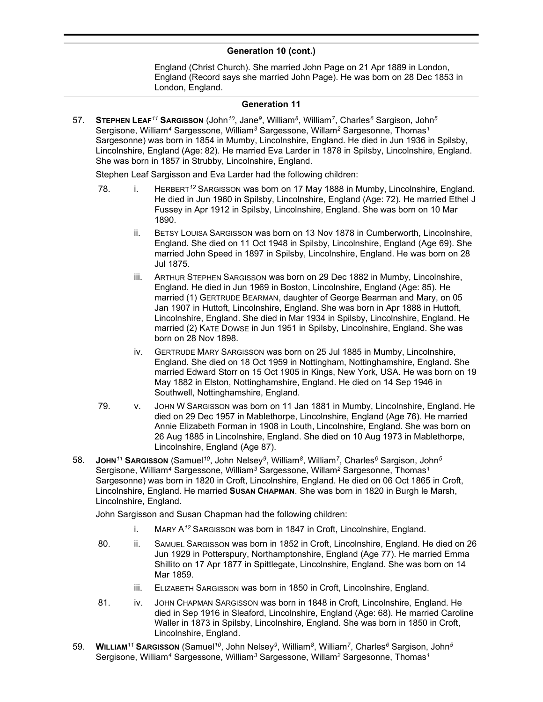England (Christ Church). She married John Page on 21 Apr 1889 in London, England (Record says she married John Page). He was born on 28 Dec 1853 in London, England.

#### **Generation 11**

57. **STEPHEN LEAF***<sup>11</sup>* **SARGISSON** (John*<sup>10</sup>* , Jane*<sup>9</sup>* , William*<sup>8</sup>* , William*<sup>7</sup>* , Charles*<sup>6</sup>* Sargison, John*<sup>5</sup>* Sergisone, William*<sup>4</sup>* Sargessone, William*<sup>3</sup>* Sargessone, Willam*<sup>2</sup>* Sargesonne, Thomas*<sup>1</sup>* Sargesonne) was born in 1854 in Mumby, Lincolnshire, England. He died in Jun 1936 in Spilsby, Lincolnshire, England (Age: 82). He married Eva Larder in 1878 in Spilsby, Lincolnshire, England. She was born in 1857 in Strubby, Lincolnshire, England.

Stephen Leaf Sargisson and Eva Larder had the following children:

- 78. i. HERBERT*<sup>12</sup>* SARGISSON was born on 17 May 1888 in Mumby, Lincolnshire, England. He died in Jun 1960 in Spilsby, Lincolnshire, England (Age: 72). He married Ethel J Fussey in Apr 1912 in Spilsby, Lincolnshire, England. She was born on 10 Mar 1890.
	- ii. BETSY LOUISA SARGISSON was born on 13 Nov 1878 in Cumberworth, Lincolnshire, England. She died on 11 Oct 1948 in Spilsby, Lincolnshire, England (Age 69). She married John Speed in 1897 in Spilsby, Lincolnshire, England. He was born on 28 Jul 1875.
	- iii. ARTHUR STEPHEN SARGISSON was born on 29 Dec 1882 in Mumby, Lincolnshire, England. He died in Jun 1969 in Boston, Lincolnshire, England (Age: 85). He married (1) GERTRUDE BEARMAN, daughter of George Bearman and Mary, on 05 Jan 1907 in Huttoft, Lincolnshire, England. She was born in Apr 1888 in Huttoft, Lincolnshire, England. She died in Mar 1934 in Spilsby, Lincolnshire, England. He married (2) KATE DOWSE in Jun 1951 in Spilsby, Lincolnshire, England. She was born on 28 Nov 1898.
	- iv. GERTRUDE MARY SARGISSON was born on 25 Jul 1885 in Mumby, Lincolnshire, England. She died on 18 Oct 1959 in Nottingham, Nottinghamshire, England. She married Edward Storr on 15 Oct 1905 in Kings, New York, USA. He was born on 19 May 1882 in Elston, Nottinghamshire, England. He died on 14 Sep 1946 in Southwell, Nottinghamshire, England.
- 79. v. JOHN W SARGISSON was born on 11 Jan 1881 in Mumby, Lincolnshire, England. He died on 29 Dec 1957 in Mablethorpe, Lincolnshire, England (Age 76). He married Annie Elizabeth Forman in 1908 in Louth, Lincolnshire, England. She was born on 26 Aug 1885 in Lincolnshire, England. She died on 10 Aug 1973 in Mablethorpe, Lincolnshire, England (Age 87).
- 58. **JOHN***<sup>11</sup>* **SARGISSON** (Samuel*<sup>10</sup>* , John Nelsey*<sup>9</sup>* , William*<sup>8</sup>* , William*<sup>7</sup>* , Charles*<sup>6</sup>* Sargison, John*<sup>5</sup>* Sergisone, William*<sup>4</sup>* Sargessone, William*<sup>3</sup>* Sargessone, Willam*<sup>2</sup>* Sargesonne, Thomas*<sup>1</sup>* Sargesonne) was born in 1820 in Croft, Lincolnshire, England. He died on 06 Oct 1865 in Croft, Lincolnshire, England. He married **SUSAN CHAPMAN**. She was born in 1820 in Burgh le Marsh, Lincolnshire, England.

John Sargisson and Susan Chapman had the following children:

- i. MARY A*<sup>12</sup>* SARGISSON was born in 1847 in Croft, Lincolnshire, England.
- 80. ii. SAMUEL SARGISSON was born in 1852 in Croft, Lincolnshire, England. He died on 26 Jun 1929 in Potterspury, Northamptonshire, England (Age 77). He married Emma Shillito on 17 Apr 1877 in Spittlegate, Lincolnshire, England. She was born on 14 Mar 1859.
	- iii. ELIZABETH SARGISSON was born in 1850 in Croft, Lincolnshire, England.
- 81. iv. JOHN CHAPMAN SARGISSON was born in 1848 in Croft, Lincolnshire, England. He died in Sep 1916 in Sleaford, Lincolnshire, England (Age: 68). He married Caroline Waller in 1873 in Spilsby, Lincolnshire, England. She was born in 1850 in Croft, Lincolnshire, England.
- 59. **WILLIAM***<sup>11</sup>* **SARGISSON** (Samuel*<sup>10</sup>* , John Nelsey*<sup>9</sup>* , William*<sup>8</sup>* , William*<sup>7</sup>* , Charles*<sup>6</sup>* Sargison, John*<sup>5</sup>* Sergisone, William*<sup>4</sup>* Sargessone, William*<sup>3</sup>* Sargessone, Willam*<sup>2</sup>* Sargesonne, Thomas*<sup>1</sup>*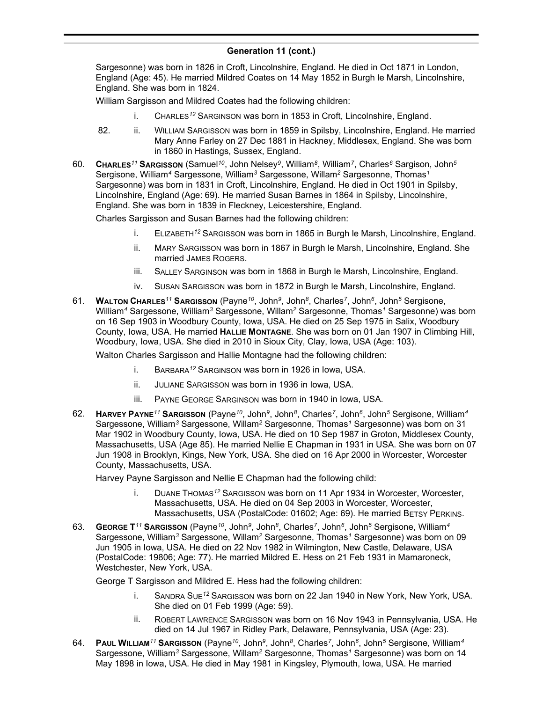Sargesonne) was born in 1826 in Croft, Lincolnshire, England. He died in Oct 1871 in London, England (Age: 45). He married Mildred Coates on 14 May 1852 in Burgh le Marsh, Lincolnshire, England. She was born in 1824.

William Sargisson and Mildred Coates had the following children:

- i. CHARLES*<sup>12</sup>* SARGINSON was born in 1853 in Croft, Lincolnshire, England.
- 82. ii. WILLIAM SARGISSON was born in 1859 in Spilsby, Lincolnshire, England. He married Mary Anne Farley on 27 Dec 1881 in Hackney, Middlesex, England. She was born in 1860 in Hastings, Sussex, England.
- 60. **CHARLES***<sup>11</sup>* **SARGISSON** (Samuel*<sup>10</sup>* , John Nelsey*<sup>9</sup>* , William*<sup>8</sup>* , William*<sup>7</sup>* , Charles*<sup>6</sup>* Sargison, John*<sup>5</sup>* Sergisone, William*<sup>4</sup>* Sargessone, William*<sup>3</sup>* Sargessone, Willam*<sup>2</sup>* Sargesonne, Thomas*<sup>1</sup>* Sargesonne) was born in 1831 in Croft, Lincolnshire, England. He died in Oct 1901 in Spilsby, Lincolnshire, England (Age: 69). He married Susan Barnes in 1864 in Spilsby, Lincolnshire, England. She was born in 1839 in Fleckney, Leicestershire, England.

Charles Sargisson and Susan Barnes had the following children:

- i. ELIZABETH*<sup>12</sup>* SARGISSON was born in 1865 in Burgh le Marsh, Lincolnshire, England.
- ii. MARY SARGISSON was born in 1867 in Burgh le Marsh, Lincolnshire, England. She married JAMES ROGERS.
- iii. SALLEY SARGINSON was born in 1868 in Burgh le Marsh, Lincolnshire, England.
- iv. SUSAN SARGISSON was born in 1872 in Burgh le Marsh, Lincolnshire, England.
- 61. **WALTON CHARLES***<sup>11</sup>* **SARGISSON** (Payne*<sup>10</sup>* , John*<sup>9</sup>* , John*<sup>8</sup>* , Charles*<sup>7</sup>* , John*<sup>6</sup>* , John*<sup>5</sup>* Sergisone, William*<sup>4</sup>* Sargessone, William*<sup>3</sup>* Sargessone, Willam*<sup>2</sup>* Sargesonne, Thomas*<sup>1</sup>* Sargesonne) was born on 16 Sep 1903 in Woodbury County, Iowa, USA. He died on 25 Sep 1975 in Salix, Woodbury County, Iowa, USA. He married **HALLIE MONTAGNE**. She was born on 01 Jan 1907 in Climbing Hill, Woodbury, Iowa, USA. She died in 2010 in Sioux City, Clay, Iowa, USA (Age: 103).

Walton Charles Sargisson and Hallie Montagne had the following children:

- i. BARBARA*<sup>12</sup>* SARGINSON was born in 1926 in Iowa, USA.
- ii. JULIANE SARGISSON was born in 1936 in Iowa, USA.
- iii. PAYNE GEORGE SARGINSON was born in 1940 in Iowa, USA.
- 62. **HARVEY PAYNE***<sup>11</sup>* **SARGISSON** (Payne*<sup>10</sup>* , John*<sup>9</sup>* , John*<sup>8</sup>* , Charles*<sup>7</sup>* , John*<sup>6</sup>* , John*<sup>5</sup>* Sergisone, William*<sup>4</sup>* Sargessone, William*<sup>3</sup>* Sargessone, Willam*<sup>2</sup>* Sargesonne, Thomas*<sup>1</sup>* Sargesonne) was born on 31 Mar 1902 in Woodbury County, Iowa, USA. He died on 10 Sep 1987 in Groton, Middlesex County, Massachusetts, USA (Age 85). He married Nellie E Chapman in 1931 in USA. She was born on 07 Jun 1908 in Brooklyn, Kings, New York, USA. She died on 16 Apr 2000 in Worcester, Worcester County, Massachusetts, USA.

Harvey Payne Sargisson and Nellie E Chapman had the following child:

- i. DUANE THOMAS*<sup>12</sup>* SARGISSON was born on 11 Apr 1934 in Worcester, Worcester, Massachusetts, USA. He died on 04 Sep 2003 in Worcester, Worcester, Massachusetts, USA (PostalCode: 01602; Age: 69). He married BETSY PERKINS.
- 63. **GEORGE T** *<sup>11</sup>* **SARGISSON** (Payne*<sup>10</sup>* , John*<sup>9</sup>* , John*<sup>8</sup>* , Charles*<sup>7</sup>* , John*<sup>6</sup>* , John*<sup>5</sup>* Sergisone, William*<sup>4</sup>* Sargessone, William*<sup>3</sup>* Sargessone, Willam*<sup>2</sup>* Sargesonne, Thomas*<sup>1</sup>* Sargesonne) was born on 09 Jun 1905 in Iowa, USA. He died on 22 Nov 1982 in Wilmington, New Castle, Delaware, USA (PostalCode: 19806; Age: 77). He married Mildred E. Hess on 21 Feb 1931 in Mamaroneck, Westchester, New York, USA.

George T Sargisson and Mildred E. Hess had the following children:

- i. SANDRA SUE*<sup>12</sup>* SARGISSON was born on 22 Jan 1940 in New York, New York, USA. She died on 01 Feb 1999 (Age: 59).
- ii. ROBERT LAWRENCE SARGISSON was born on 16 Nov 1943 in Pennsylvania, USA. He died on 14 Jul 1967 in Ridley Park, Delaware, Pennsylvania, USA (Age: 23).
- 64. **PAUL WILLIAM***<sup>11</sup>* **SARGISSON** (Payne*<sup>10</sup>* , John*<sup>9</sup>* , John*<sup>8</sup>* , Charles*<sup>7</sup>* , John*<sup>6</sup>* , John*<sup>5</sup>* Sergisone, William*<sup>4</sup>* Sargessone, William*<sup>3</sup>* Sargessone, Willam*<sup>2</sup>* Sargesonne, Thomas*<sup>1</sup>* Sargesonne) was born on 14 May 1898 in Iowa, USA. He died in May 1981 in Kingsley, Plymouth, Iowa, USA. He married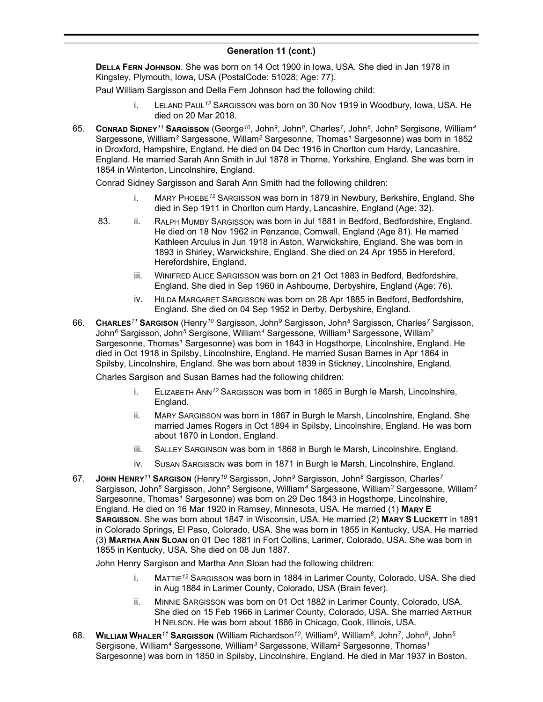**DELLA FERN JOHNSON**. She was born on 14 Oct 1900 in Iowa, USA. She died in Jan 1978 in Kingsley, Plymouth, Iowa, USA (PostalCode: 51028; Age: 77).

Paul William Sargisson and Della Fern Johnson had the following child:

- i. LELAND PAUL*<sup>12</sup>* SARGISSON was born on 30 Nov 1919 in Woodbury, Iowa, USA. He died on 20 Mar 2018.
- 65. **CONRAD SIDNEY***<sup>11</sup>* **SARGISSON** (George*<sup>10</sup>* , John*<sup>9</sup>* , John*<sup>8</sup>* , Charles*<sup>7</sup>* , John*<sup>6</sup>* , John*<sup>5</sup>* Sergisone, William*<sup>4</sup>* Sargessone, William*<sup>3</sup>* Sargessone, Willam*<sup>2</sup>* Sargesonne, Thomas*<sup>1</sup>* Sargesonne) was born in 1852 in Droxford, Hampshire, England. He died on 04 Dec 1916 in Chorlton cum Hardy, Lancashire, England. He married Sarah Ann Smith in Jul 1878 in Thorne, Yorkshire, England. She was born in 1854 in Winterton, Lincolnshire, England.

Conrad Sidney Sargisson and Sarah Ann Smith had the following children:

- i. MARY PHOEBE*<sup>12</sup>* SARGISSON was born in 1879 in Newbury, Berkshire, England. She died in Sep 1911 in Chorlton cum Hardy, Lancashire, England (Age: 32).
- 83. ii. RALPH MUMBY SARGISSON was born in Jul 1881 in Bedford, Bedfordshire, England. He died on 18 Nov 1962 in Penzance, Cornwall, England (Age 81). He married Kathleen Arculus in Jun 1918 in Aston, Warwickshire, England. She was born in 1893 in Shirley, Warwickshire, England. She died on 24 Apr 1955 in Hereford, Herefordshire, England.
	- iii. WINIFRED ALICE SARGISSON was born on 21 Oct 1883 in Bedford, Bedfordshire, England. She died in Sep 1960 in Ashbourne, Derbyshire, England (Age: 76).
	- iv. HILDA MARGARET SARGISSON was born on 28 Apr 1885 in Bedford, Bedfordshire, England. She died on 04 Sep 1952 in Derby, Derbyshire, England.
- 66. **CHARLES***<sup>11</sup>* **SARGISON** (Henry*<sup>10</sup>* Sargisson, John*<sup>9</sup>* Sargisson, John*<sup>8</sup>* Sargisson, Charles*<sup>7</sup>* Sargisson, John*<sup>6</sup>* Sargisson, John*<sup>5</sup>* Sergisone, William*<sup>4</sup>* Sargessone, William*<sup>3</sup>* Sargessone, Willam*<sup>2</sup>* Sargesonne, Thomas*<sup>1</sup>* Sargesonne) was born in 1843 in Hogsthorpe, Lincolnshire, England. He died in Oct 1918 in Spilsby, Lincolnshire, England. He married Susan Barnes in Apr 1864 in Spilsby, Lincolnshire, England. She was born about 1839 in Stickney, Lincolnshire, England.

Charles Sargison and Susan Barnes had the following children:

- i. ELIZABETH ANN*<sup>12</sup>* SARGISSON was born in 1865 in Burgh le Marsh, Lincolnshire, England.
- ii. MARY SARGISSON was born in 1867 in Burgh le Marsh, Lincolnshire, England. She married James Rogers in Oct 1894 in Spilsby, Lincolnshire, England. He was born about 1870 in London, England.
- iii. SALLEY SARGINSON was born in 1868 in Burgh le Marsh, Lincolnshire, England.
- iv. SUSAN SARGISSON was born in 1871 in Burgh le Marsh, Lincolnshire, England.
- 67. **JOHN HENRY***<sup>11</sup>* **SARGISON** (Henry*<sup>10</sup>* Sargisson, John*<sup>9</sup>* Sargisson, John*<sup>8</sup>* Sargisson, Charles*<sup>7</sup>* Sargisson, John*<sup>6</sup>* Sargisson, John*<sup>5</sup>* Sergisone, William*<sup>4</sup>* Sargessone, William*<sup>3</sup>* Sargessone, Willam*<sup>2</sup>* Sargesonne, Thomas*<sup>1</sup>* Sargesonne) was born on 29 Dec 1843 in Hogsthorpe, Lincolnshire, England. He died on 16 Mar 1920 in Ramsey, Minnesota, USA. He married (1) **MARY E SARGISSON**. She was born about 1847 in Wisconsin, USA. He married (2) **MARY S LUCKETT** in 1891 in Colorado Springs, El Paso, Colorado, USA. She was born in 1855 in Kentucky, USA. He married (3) **MARTHA ANN SLOAN** on 01 Dec 1881 in Fort Collins, Larimer, Colorado, USA. She was born in 1855 in Kentucky, USA. She died on 08 Jun 1887.

John Henry Sargison and Martha Ann Sloan had the following children:

- i. MATTIE*<sup>12</sup>* SARGISSON was born in 1884 in Larimer County, Colorado, USA. She died in Aug 1884 in Larimer County, Colorado, USA (Brain fever).
- ii. MINNIE SARGISSON was born on 01 Oct 1882 in Larimer County, Colorado, USA. She died on 15 Feb 1966 in Larimer County, Colorado, USA. She married ARTHUR H NELSON. He was born about 1886 in Chicago, Cook, Illinois, USA.
- 68. **WILLIAM WHALER***<sup>11</sup>* **SARGISSON** (William Richardson*<sup>10</sup>* , William*<sup>9</sup>* , William*<sup>8</sup>* , John*<sup>7</sup>* , John*<sup>6</sup>* , John*<sup>5</sup>* Sergisone, William*<sup>4</sup>* Sargessone, William*<sup>3</sup>* Sargessone, Willam*<sup>2</sup>* Sargesonne, Thomas*<sup>1</sup>* Sargesonne) was born in 1850 in Spilsby, Lincolnshire, England. He died in Mar 1937 in Boston,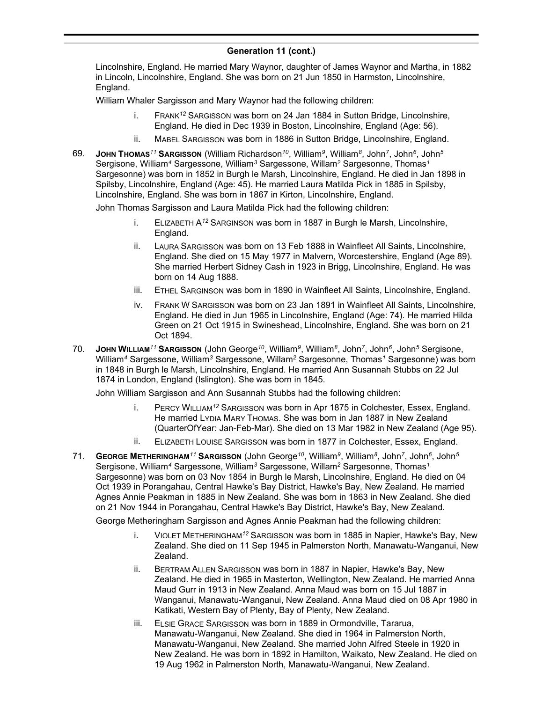Lincolnshire, England. He married Mary Waynor, daughter of James Waynor and Martha, in 1882 in Lincoln, Lincolnshire, England. She was born on 21 Jun 1850 in Harmston, Lincolnshire, England.

William Whaler Sargisson and Mary Waynor had the following children:

- i. FRANK*<sup>12</sup>* SARGISSON was born on 24 Jan 1884 in Sutton Bridge, Lincolnshire, England. He died in Dec 1939 in Boston, Lincolnshire, England (Age: 56).
- ii. MABEL SARGISSON was born in 1886 in Sutton Bridge, Lincolnshire, England.
- 69. **JOHN THOMAS***<sup>11</sup>* **SARGISSON** (William Richardson*<sup>10</sup>* , William*<sup>9</sup>* , William*<sup>8</sup>* , John*<sup>7</sup>* , John*<sup>6</sup>* , John*<sup>5</sup>* Sergisone, William*<sup>4</sup>* Sargessone, William*<sup>3</sup>* Sargessone, Willam*<sup>2</sup>* Sargesonne, Thomas*<sup>1</sup>* Sargesonne) was born in 1852 in Burgh le Marsh, Lincolnshire, England. He died in Jan 1898 in Spilsby, Lincolnshire, England (Age: 45). He married Laura Matilda Pick in 1885 in Spilsby, Lincolnshire, England. She was born in 1867 in Kirton, Lincolnshire, England.

John Thomas Sargisson and Laura Matilda Pick had the following children:

- i. ELIZABETH A*<sup>12</sup>* SARGINSON was born in 1887 in Burgh le Marsh, Lincolnshire, England.
- ii. LAURA SARGISSON was born on 13 Feb 1888 in Wainfleet All Saints, Lincolnshire, England. She died on 15 May 1977 in Malvern, Worcestershire, England (Age 89). She married Herbert Sidney Cash in 1923 in Brigg, Lincolnshire, England. He was born on 14 Aug 1888.
- iii. ETHEL SARGINSON was born in 1890 in Wainfleet All Saints, Lincolnshire, England.
- iv. FRANK W SARGISSON was born on 23 Jan 1891 in Wainfleet All Saints, Lincolnshire, England. He died in Jun 1965 in Lincolnshire, England (Age: 74). He married Hilda Green on 21 Oct 1915 in Swineshead, Lincolnshire, England. She was born on 21 Oct 1894.
- 70. **JOHN WILLIAM***<sup>11</sup>* **SARGISSON** (John George*<sup>10</sup>* , William*<sup>9</sup>* , William*<sup>8</sup>* , John*<sup>7</sup>* , John*<sup>6</sup>* , John*<sup>5</sup>* Sergisone, William*<sup>4</sup>* Sargessone, William*<sup>3</sup>* Sargessone, Willam*<sup>2</sup>* Sargesonne, Thomas*<sup>1</sup>* Sargesonne) was born in 1848 in Burgh le Marsh, Lincolnshire, England. He married Ann Susannah Stubbs on 22 Jul 1874 in London, England (Islington). She was born in 1845.

John William Sargisson and Ann Susannah Stubbs had the following children:

- i. PERCY WILLIAM*<sup>12</sup>* SARGISSON was born in Apr 1875 in Colchester, Essex, England. He married LYDIA MARY THOMAS. She was born in Jan 1887 in New Zealand (QuarterOfYear: Jan-Feb-Mar). She died on 13 Mar 1982 in New Zealand (Age 95).
- ii. ELIZABETH LOUISE SARGISSON was born in 1877 in Colchester, Essex, England.
- 71. **GEORGE METHERINGHAM***<sup>11</sup>* **SARGISSON** (John George*<sup>10</sup>* , William*<sup>9</sup>* , William*<sup>8</sup>* , John*<sup>7</sup>* , John*<sup>6</sup>* , John*<sup>5</sup>* Sergisone, William*<sup>4</sup>* Sargessone, William*<sup>3</sup>* Sargessone, Willam*<sup>2</sup>* Sargesonne, Thomas*<sup>1</sup>* Sargesonne) was born on 03 Nov 1854 in Burgh le Marsh, Lincolnshire, England. He died on 04 Oct 1939 in Porangahau, Central Hawke's Bay District, Hawke's Bay, New Zealand. He married Agnes Annie Peakman in 1885 in New Zealand. She was born in 1863 in New Zealand. She died on 21 Nov 1944 in Porangahau, Central Hawke's Bay District, Hawke's Bay, New Zealand.

George Metheringham Sargisson and Agnes Annie Peakman had the following children:

- i. VIOLET METHERINGHAM*<sup>12</sup>* SARGISSON was born in 1885 in Napier, Hawke's Bay, New Zealand. She died on 11 Sep 1945 in Palmerston North, Manawatu-Wanganui, New Zealand.
- ii. BERTRAM ALLEN SARGISSON was born in 1887 in Napier, Hawke's Bay, New Zealand. He died in 1965 in Masterton, Wellington, New Zealand. He married Anna Maud Gurr in 1913 in New Zealand. Anna Maud was born on 15 Jul 1887 in Wanganui, Manawatu-Wanganui, New Zealand. Anna Maud died on 08 Apr 1980 in Katikati, Western Bay of Plenty, Bay of Plenty, New Zealand.
- iii. ELSIE GRACE SARGISSON was born in 1889 in Ormondville, Tararua, Manawatu-Wanganui, New Zealand. She died in 1964 in Palmerston North, Manawatu-Wanganui, New Zealand. She married John Alfred Steele in 1920 in New Zealand. He was born in 1892 in Hamilton, Waikato, New Zealand. He died on 19 Aug 1962 in Palmerston North, Manawatu-Wanganui, New Zealand.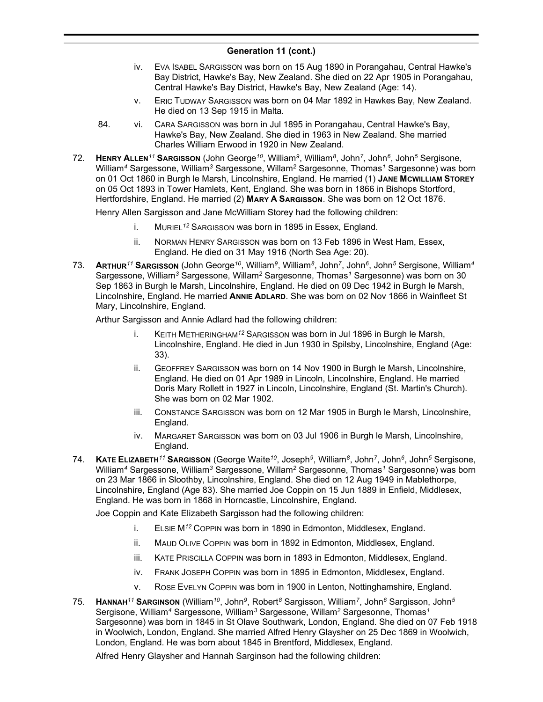- iv. EVA ISABEL SARGISSON was born on 15 Aug 1890 in Porangahau, Central Hawke's Bay District, Hawke's Bay, New Zealand. She died on 22 Apr 1905 in Porangahau, Central Hawke's Bay District, Hawke's Bay, New Zealand (Age: 14).
- v. ERIC TUDWAY SARGISSON was born on 04 Mar 1892 in Hawkes Bay, New Zealand. He died on 13 Sep 1915 in Malta.
- 84. vi. CARA SARGISSON was born in Jul 1895 in Porangahau, Central Hawke's Bay, Hawke's Bay, New Zealand. She died in 1963 in New Zealand. She married Charles William Erwood in 1920 in New Zealand.
- 72. **HENRY ALLEN***<sup>11</sup>* **SARGISSON** (John George*<sup>10</sup>* , William*<sup>9</sup>* , William*<sup>8</sup>* , John*<sup>7</sup>* , John*<sup>6</sup>* , John*<sup>5</sup>* Sergisone, William*<sup>4</sup>* Sargessone, William*<sup>3</sup>* Sargessone, Willam*<sup>2</sup>* Sargesonne, Thomas*<sup>1</sup>* Sargesonne) was born on 01 Oct 1860 in Burgh le Marsh, Lincolnshire, England. He married (1) **JANE MCWILLIAM STOREY** on 05 Oct 1893 in Tower Hamlets, Kent, England. She was born in 1866 in Bishops Stortford, Hertfordshire, England. He married (2) **MARY A SARGISSON**. She was born on 12 Oct 1876.

Henry Allen Sargisson and Jane McWilliam Storey had the following children:

- i. MURIEL*<sup>12</sup>* SARGISSON was born in 1895 in Essex, England.
- ii. NORMAN HENRY SARGISSON was born on 13 Feb 1896 in West Ham, Essex, England. He died on 31 May 1916 (North Sea Age: 20).
- 73. **ARTHUR***<sup>11</sup>* **SARGISSON** (John George*<sup>10</sup>* , William*<sup>9</sup>* , William*<sup>8</sup>* , John*<sup>7</sup>* , John*<sup>6</sup>* , John*<sup>5</sup>* Sergisone, William*<sup>4</sup>* Sargessone, William*<sup>3</sup>* Sargessone, Willam*<sup>2</sup>* Sargesonne, Thomas*<sup>1</sup>* Sargesonne) was born on 30 Sep 1863 in Burgh le Marsh, Lincolnshire, England. He died on 09 Dec 1942 in Burgh le Marsh, Lincolnshire, England. He married **ANNIE ADLARD**. She was born on 02 Nov 1866 in Wainfleet St Mary, Lincolnshire, England.

Arthur Sargisson and Annie Adlard had the following children:

- i. KEITH METHERINGHAM*<sup>12</sup>* SARGISSON was born in Jul 1896 in Burgh le Marsh, Lincolnshire, England. He died in Jun 1930 in Spilsby, Lincolnshire, England (Age: 33).
- ii. GEOFFREY SARGISSON was born on 14 Nov 1900 in Burgh le Marsh, Lincolnshire, England. He died on 01 Apr 1989 in Lincoln, Lincolnshire, England. He married Doris Mary Rollett in 1927 in Lincoln, Lincolnshire, England (St. Martin's Church). She was born on 02 Mar 1902.
- iii. CONSTANCE SARGISSON was born on 12 Mar 1905 in Burgh le Marsh, Lincolnshire, England.
- iv. MARGARET SARGISSON was born on 03 Jul 1906 in Burgh le Marsh, Lincolnshire, England.
- 74. **KATE ELIZABETH***<sup>11</sup>* **SARGISSON** (George Waite*<sup>10</sup>* , Joseph*<sup>9</sup>* , William*<sup>8</sup>* , John*<sup>7</sup>* , John*<sup>6</sup>* , John*<sup>5</sup>* Sergisone, William*<sup>4</sup>* Sargessone, William*<sup>3</sup>* Sargessone, Willam*<sup>2</sup>* Sargesonne, Thomas*<sup>1</sup>* Sargesonne) was born on 23 Mar 1866 in Sloothby, Lincolnshire, England. She died on 12 Aug 1949 in Mablethorpe, Lincolnshire, England (Age 83). She married Joe Coppin on 15 Jun 1889 in Enfield, Middlesex, England. He was born in 1868 in Horncastle, Lincolnshire, England.

Joe Coppin and Kate Elizabeth Sargisson had the following children:

- i. ELSIE M*<sup>12</sup>* COPPIN was born in 1890 in Edmonton, Middlesex, England.
- ii. MAUD OLIVE COPPIN was born in 1892 in Edmonton, Middlesex, England.
- iii. KATE PRISCILLA COPPIN was born in 1893 in Edmonton, Middlesex, England.
- iv. FRANK JOSEPH COPPIN was born in 1895 in Edmonton, Middlesex, England.
- v. ROSE EVELYN COPPIN was born in 1900 in Lenton, Nottinghamshire, England.
- 75. **HANNAH***<sup>11</sup>* **SARGINSON** (William*<sup>10</sup>* , John*<sup>9</sup>* , Robert*<sup>8</sup>* Sargisson, William*<sup>7</sup>* , John*<sup>6</sup>* Sargisson, John*<sup>5</sup>* Sergisone, William*<sup>4</sup>* Sargessone, William*<sup>3</sup>* Sargessone, Willam*<sup>2</sup>* Sargesonne, Thomas*<sup>1</sup>* Sargesonne) was born in 1845 in St Olave Southwark, London, England. She died on 07 Feb 1918 in Woolwich, London, England. She married Alfred Henry Glaysher on 25 Dec 1869 in Woolwich, London, England. He was born about 1845 in Brentford, Middlesex, England.

Alfred Henry Glaysher and Hannah Sarginson had the following children: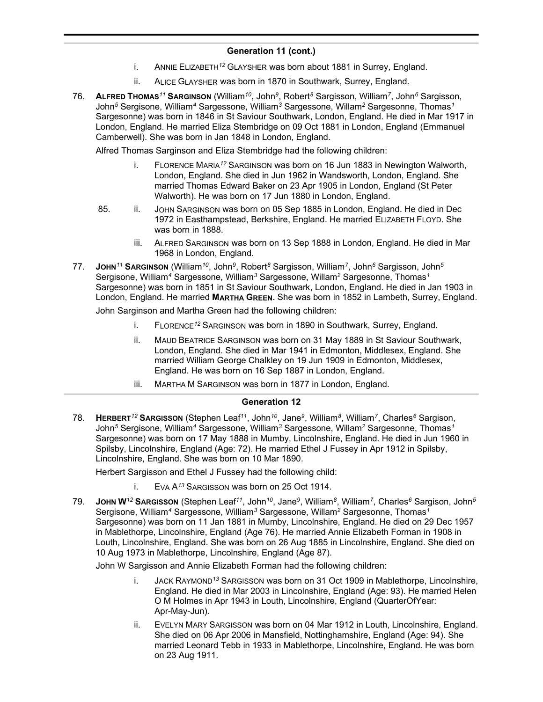- i. ANNIE ELIZABETH*<sup>12</sup>* GLAYSHER was born about 1881 in Surrey, England.
- ii. ALICE GLAYSHER was born in 1870 in Southwark, Surrey, England.
- 76. **ALFRED THOMAS***<sup>11</sup>* **SARGINSON** (William*<sup>10</sup>* , John*<sup>9</sup>* , Robert*<sup>8</sup>* Sargisson, William*<sup>7</sup>* , John*<sup>6</sup>* Sargisson, John*<sup>5</sup>* Sergisone, William*<sup>4</sup>* Sargessone, William*<sup>3</sup>* Sargessone, Willam*<sup>2</sup>* Sargesonne, Thomas*<sup>1</sup>* Sargesonne) was born in 1846 in St Saviour Southwark, London, England. He died in Mar 1917 in London, England. He married Eliza Stembridge on 09 Oct 1881 in London, England (Emmanuel Camberwell). She was born in Jan 1848 in London, England.

Alfred Thomas Sarginson and Eliza Stembridge had the following children:

- i. FLORENCE MARIA*<sup>12</sup>* SARGINSON was born on 16 Jun 1883 in Newington Walworth, London, England. She died in Jun 1962 in Wandsworth, London, England. She married Thomas Edward Baker on 23 Apr 1905 in London, England (St Peter Walworth). He was born on 17 Jun 1880 in London, England.
- 85. ii. JOHN SARGINSON was born on 05 Sep 1885 in London, England. He died in Dec 1972 in Easthampstead, Berkshire, England. He married ELIZABETH FLOYD. She was born in 1888.
	- iii. ALFRED SARGINSON was born on 13 Sep 1888 in London, England. He died in Mar 1968 in London, England.
- 77. **JOHN***<sup>11</sup>* **SARGINSON** (William*<sup>10</sup>* , John*<sup>9</sup>* , Robert*<sup>8</sup>* Sargisson, William*<sup>7</sup>* , John*<sup>6</sup>* Sargisson, John*<sup>5</sup>* Sergisone, William*<sup>4</sup>* Sargessone, William*<sup>3</sup>* Sargessone, Willam*<sup>2</sup>* Sargesonne, Thomas*<sup>1</sup>* Sargesonne) was born in 1851 in St Saviour Southwark, London, England. He died in Jan 1903 in London, England. He married **MARTHA GREEN**. She was born in 1852 in Lambeth, Surrey, England. John Sarginson and Martha Green had the following children:
	- i. FLORENCE*<sup>12</sup>* SARGINSON was born in 1890 in Southwark, Surrey, England.
	- ii. MAUD BEATRICE SARGINSON was born on 31 May 1889 in St Saviour Southwark, London, England. She died in Mar 1941 in Edmonton, Middlesex, England. She married William George Chalkley on 19 Jun 1909 in Edmonton, Middlesex, England. He was born on 16 Sep 1887 in London, England.
	- iii. MARTHA M SARGINSON was born in 1877 in London, England.

## **Generation 12**

78. **HERBERT***<sup>12</sup>* **SARGISSON** (Stephen Leaf*<sup>11</sup>* , John*<sup>10</sup>* , Jane*<sup>9</sup>* , William*<sup>8</sup>* , William*<sup>7</sup>* , Charles*<sup>6</sup>* Sargison, John*<sup>5</sup>* Sergisone, William*<sup>4</sup>* Sargessone, William*<sup>3</sup>* Sargessone, Willam*<sup>2</sup>* Sargesonne, Thomas*<sup>1</sup>* Sargesonne) was born on 17 May 1888 in Mumby, Lincolnshire, England. He died in Jun 1960 in Spilsby, Lincolnshire, England (Age: 72). He married Ethel J Fussey in Apr 1912 in Spilsby, Lincolnshire, England. She was born on 10 Mar 1890.

Herbert Sargisson and Ethel J Fussey had the following child:

- i. EVA A*<sup>13</sup>* SARGISSON was born on 25 Oct 1914.
- 79. **JOHN W***<sup>12</sup>* **SARGISSON** (Stephen Leaf*<sup>11</sup>* , John*<sup>10</sup>* , Jane*<sup>9</sup>* , William*<sup>8</sup>* , William*<sup>7</sup>* , Charles*<sup>6</sup>* Sargison, John*<sup>5</sup>* Sergisone, William*<sup>4</sup>* Sargessone, William*<sup>3</sup>* Sargessone, Willam*<sup>2</sup>* Sargesonne, Thomas*<sup>1</sup>* Sargesonne) was born on 11 Jan 1881 in Mumby, Lincolnshire, England. He died on 29 Dec 1957 in Mablethorpe, Lincolnshire, England (Age 76). He married Annie Elizabeth Forman in 1908 in Louth, Lincolnshire, England. She was born on 26 Aug 1885 in Lincolnshire, England. She died on 10 Aug 1973 in Mablethorpe, Lincolnshire, England (Age 87).

John W Sargisson and Annie Elizabeth Forman had the following children:

- i. JACK RAYMOND*<sup>13</sup>* SARGISSON was born on 31 Oct 1909 in Mablethorpe, Lincolnshire, England. He died in Mar 2003 in Lincolnshire, England (Age: 93). He married Helen O M Holmes in Apr 1943 in Louth, Lincolnshire, England (QuarterOfYear: Apr-May-Jun).
- ii. EVELYN MARY SARGISSON was born on 04 Mar 1912 in Louth, Lincolnshire, England. She died on 06 Apr 2006 in Mansfield, Nottinghamshire, England (Age: 94). She married Leonard Tebb in 1933 in Mablethorpe, Lincolnshire, England. He was born on 23 Aug 1911.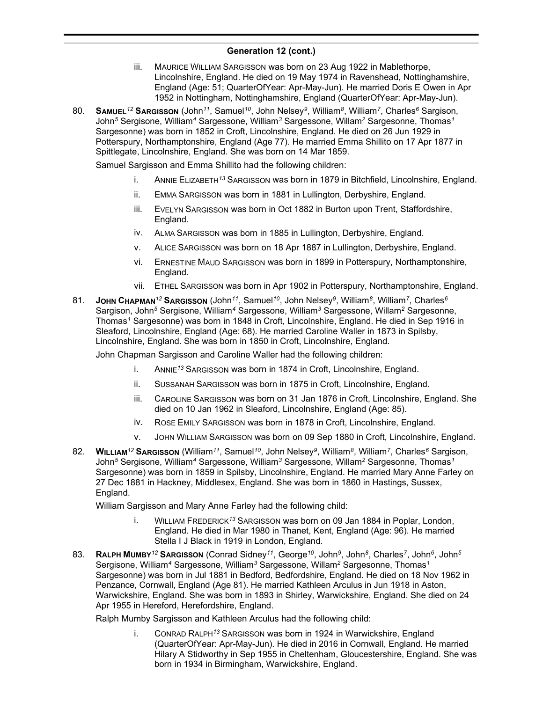- iii. MAURICE WILLIAM SARGISSON was born on 23 Aug 1922 in Mablethorpe, Lincolnshire, England. He died on 19 May 1974 in Ravenshead, Nottinghamshire, England (Age: 51; QuarterOfYear: Apr-May-Jun). He married Doris E Owen in Apr 1952 in Nottingham, Nottinghamshire, England (QuarterOfYear: Apr-May-Jun).
- 80. **SAMUEL***<sup>12</sup>* **SARGISSON** (John*<sup>11</sup>* , Samuel*<sup>10</sup>* , John Nelsey*<sup>9</sup>* , William*<sup>8</sup>* , William*<sup>7</sup>* , Charles*<sup>6</sup>* Sargison, John*<sup>5</sup>* Sergisone, William*<sup>4</sup>* Sargessone, William*<sup>3</sup>* Sargessone, Willam*<sup>2</sup>* Sargesonne, Thomas*<sup>1</sup>* Sargesonne) was born in 1852 in Croft, Lincolnshire, England. He died on 26 Jun 1929 in Potterspury, Northamptonshire, England (Age 77). He married Emma Shillito on 17 Apr 1877 in Spittlegate, Lincolnshire, England. She was born on 14 Mar 1859.

Samuel Sargisson and Emma Shillito had the following children:

- i. ANNIE ELIZABETH*<sup>13</sup>* SARGISSON was born in 1879 in Bitchfield, Lincolnshire, England.
- ii. EMMA SARGISSON was born in 1881 in Lullington, Derbyshire, England.
- iii. EVELYN SARGISSON was born in Oct 1882 in Burton upon Trent, Staffordshire, England.
- iv. ALMA SARGISSON was born in 1885 in Lullington, Derbyshire, England.
- v. ALICE SARGISSON was born on 18 Apr 1887 in Lullington, Derbyshire, England.
- vi. ERNESTINE MAUD SARGISSON was born in 1899 in Potterspury, Northamptonshire, England.
- vii. ETHEL SARGISSON was born in Apr 1902 in Potterspury, Northamptonshire, England.
- 81. **JOHN CHAPMAN***<sup>12</sup>* **SARGISSON** (John*<sup>11</sup>* , Samuel*<sup>10</sup>* , John Nelsey*<sup>9</sup>* , William*<sup>8</sup>* , William*<sup>7</sup>* , Charles*<sup>6</sup>* Sargison, John*<sup>5</sup>* Sergisone, William*<sup>4</sup>* Sargessone, William*<sup>3</sup>* Sargessone, Willam*<sup>2</sup>* Sargesonne, Thomas*<sup>1</sup>* Sargesonne) was born in 1848 in Croft, Lincolnshire, England. He died in Sep 1916 in Sleaford, Lincolnshire, England (Age: 68). He married Caroline Waller in 1873 in Spilsby, Lincolnshire, England. She was born in 1850 in Croft, Lincolnshire, England.

John Chapman Sargisson and Caroline Waller had the following children:

- i. ANNIE*<sup>13</sup>* SARGISSON was born in 1874 in Croft, Lincolnshire, England.
- ii. SUSSANAH SARGISSON was born in 1875 in Croft, Lincolnshire, England.
- iii. CAROLINE SARGISSON was born on 31 Jan 1876 in Croft, Lincolnshire, England. She died on 10 Jan 1962 in Sleaford, Lincolnshire, England (Age: 85).
- iv. ROSE EMILY SARGISSON was born in 1878 in Croft, Lincolnshire, England.
- v. JOHN WILLIAM SARGISSON was born on 09 Sep 1880 in Croft, Lincolnshire, England.
- 82. **WILLIAM***<sup>12</sup>* **SARGISSON** (William*<sup>11</sup>* , Samuel*<sup>10</sup>* , John Nelsey*<sup>9</sup>* , William*<sup>8</sup>* , William*<sup>7</sup>* , Charles*<sup>6</sup>* Sargison, John*<sup>5</sup>* Sergisone, William*<sup>4</sup>* Sargessone, William*<sup>3</sup>* Sargessone, Willam*<sup>2</sup>* Sargesonne, Thomas*<sup>1</sup>* Sargesonne) was born in 1859 in Spilsby, Lincolnshire, England. He married Mary Anne Farley on 27 Dec 1881 in Hackney, Middlesex, England. She was born in 1860 in Hastings, Sussex, England.

William Sargisson and Mary Anne Farley had the following child:

- i. WILLIAM FREDERICK*<sup>13</sup>* SARGISSON was born on 09 Jan 1884 in Poplar, London, England. He died in Mar 1980 in Thanet, Kent, England (Age: 96). He married Stella I J Black in 1919 in London, England.
- 83. **RALPH MUMBY***<sup>12</sup>* **SARGISSON** (Conrad Sidney*<sup>11</sup>* , George*<sup>10</sup>* , John*<sup>9</sup>* , John*<sup>8</sup>* , Charles*<sup>7</sup>* , John*<sup>6</sup>* , John*<sup>5</sup>* Sergisone, William*<sup>4</sup>* Sargessone, William*<sup>3</sup>* Sargessone, Willam*<sup>2</sup>* Sargesonne, Thomas*<sup>1</sup>* Sargesonne) was born in Jul 1881 in Bedford, Bedfordshire, England. He died on 18 Nov 1962 in Penzance, Cornwall, England (Age 81). He married Kathleen Arculus in Jun 1918 in Aston, Warwickshire, England. She was born in 1893 in Shirley, Warwickshire, England. She died on 24 Apr 1955 in Hereford, Herefordshire, England.

Ralph Mumby Sargisson and Kathleen Arculus had the following child:

i. CONRAD RALPH*<sup>13</sup>* SARGISSON was born in 1924 in Warwickshire, England (QuarterOfYear: Apr-May-Jun). He died in 2016 in Cornwall, England. He married Hilary A Stidworthy in Sep 1955 in Cheltenham, Gloucestershire, England. She was born in 1934 in Birmingham, Warwickshire, England.